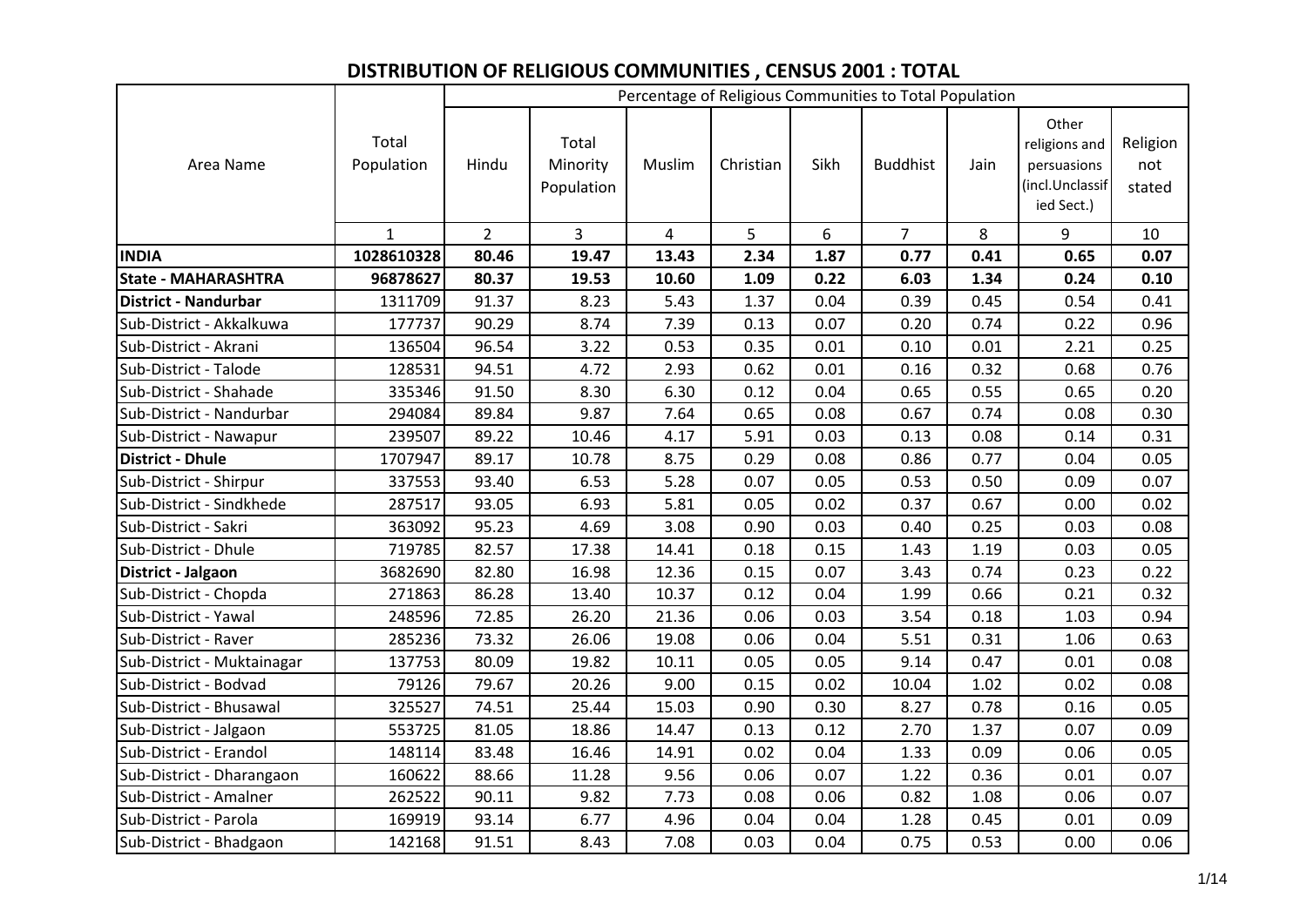## **DISTRIBUTION OF RELIGIOUS COMMUNITIES , CENSUS 2001 : TOTAL**

|                             |                     |             |                                 |                |           |      | Percentage of Religious Communities to Total Population |      |                                                                        |                           |
|-----------------------------|---------------------|-------------|---------------------------------|----------------|-----------|------|---------------------------------------------------------|------|------------------------------------------------------------------------|---------------------------|
| Area Name                   | Total<br>Population | Hindu       | Total<br>Minority<br>Population | Muslim         | Christian | Sikh | <b>Buddhist</b>                                         | Jain | Other<br>religions and<br>persuasions<br>(incl.Unclassif<br>ied Sect.) | Religion<br>not<br>stated |
|                             | $\mathbf{1}$        | $2^{\circ}$ | $\overline{3}$                  | $\overline{4}$ | 5         | 6    | $\overline{7}$                                          | 8    | 9                                                                      | 10                        |
| <b>INDIA</b>                | 1028610328          | 80.46       | 19.47                           | 13.43          | 2.34      | 1.87 | 0.77                                                    | 0.41 | 0.65                                                                   | 0.07                      |
| <b>State - MAHARASHTRA</b>  | 96878627            | 80.37       | 19.53                           | 10.60          | 1.09      | 0.22 | 6.03                                                    | 1.34 | 0.24                                                                   | 0.10                      |
| <b>District - Nandurbar</b> | 1311709             | 91.37       | 8.23                            | 5.43           | 1.37      | 0.04 | 0.39                                                    | 0.45 | 0.54                                                                   | 0.41                      |
| Sub-District - Akkalkuwa    | 177737              | 90.29       | 8.74                            | 7.39           | 0.13      | 0.07 | 0.20                                                    | 0.74 | 0.22                                                                   | 0.96                      |
| Sub-District - Akrani       | 136504              | 96.54       | 3.22                            | 0.53           | 0.35      | 0.01 | 0.10                                                    | 0.01 | 2.21                                                                   | 0.25                      |
| Sub-District - Talode       | 128531              | 94.51       | 4.72                            | 2.93           | 0.62      | 0.01 | 0.16                                                    | 0.32 | 0.68                                                                   | 0.76                      |
| Sub-District - Shahade      | 335346              | 91.50       | 8.30                            | 6.30           | 0.12      | 0.04 | 0.65                                                    | 0.55 | 0.65                                                                   | 0.20                      |
| Sub-District - Nandurbar    | 294084              | 89.84       | 9.87                            | 7.64           | 0.65      | 0.08 | 0.67                                                    | 0.74 | 0.08                                                                   | 0.30                      |
| Sub-District - Nawapur      | 239507              | 89.22       | 10.46                           | 4.17           | 5.91      | 0.03 | 0.13                                                    | 0.08 | 0.14                                                                   | 0.31                      |
| <b>District - Dhule</b>     | 1707947             | 89.17       | 10.78                           | 8.75           | 0.29      | 0.08 | 0.86                                                    | 0.77 | 0.04                                                                   | 0.05                      |
| Sub-District - Shirpur      | 337553              | 93.40       | 6.53                            | 5.28           | 0.07      | 0.05 | 0.53                                                    | 0.50 | 0.09                                                                   | 0.07                      |
| Sub-District - Sindkhede    | 287517              | 93.05       | 6.93                            | 5.81           | 0.05      | 0.02 | 0.37                                                    | 0.67 | 0.00                                                                   | 0.02                      |
| Sub-District - Sakri        | 363092              | 95.23       | 4.69                            | 3.08           | 0.90      | 0.03 | 0.40                                                    | 0.25 | 0.03                                                                   | 0.08                      |
| Sub-District - Dhule        | 719785              | 82.57       | 17.38                           | 14.41          | 0.18      | 0.15 | 1.43                                                    | 1.19 | 0.03                                                                   | 0.05                      |
| District - Jalgaon          | 3682690             | 82.80       | 16.98                           | 12.36          | 0.15      | 0.07 | 3.43                                                    | 0.74 | 0.23                                                                   | 0.22                      |
| Sub-District - Chopda       | 271863              | 86.28       | 13.40                           | 10.37          | 0.12      | 0.04 | 1.99                                                    | 0.66 | 0.21                                                                   | 0.32                      |
| Sub-District - Yawal        | 248596              | 72.85       | 26.20                           | 21.36          | 0.06      | 0.03 | 3.54                                                    | 0.18 | 1.03                                                                   | 0.94                      |
| Sub-District - Raver        | 285236              | 73.32       | 26.06                           | 19.08          | 0.06      | 0.04 | 5.51                                                    | 0.31 | 1.06                                                                   | 0.63                      |
| Sub-District - Muktainagar  | 137753              | 80.09       | 19.82                           | 10.11          | 0.05      | 0.05 | 9.14                                                    | 0.47 | 0.01                                                                   | 0.08                      |
| Sub-District - Bodvad       | 79126               | 79.67       | 20.26                           | 9.00           | 0.15      | 0.02 | 10.04                                                   | 1.02 | 0.02                                                                   | 0.08                      |
| Sub-District - Bhusawal     | 325527              | 74.51       | 25.44                           | 15.03          | 0.90      | 0.30 | 8.27                                                    | 0.78 | 0.16                                                                   | 0.05                      |
| Sub-District - Jalgaon      | 553725              | 81.05       | 18.86                           | 14.47          | 0.13      | 0.12 | 2.70                                                    | 1.37 | 0.07                                                                   | 0.09                      |
| Sub-District - Erandol      | 148114              | 83.48       | 16.46                           | 14.91          | 0.02      | 0.04 | 1.33                                                    | 0.09 | 0.06                                                                   | 0.05                      |
| Sub-District - Dharangaon   | 160622              | 88.66       | 11.28                           | 9.56           | 0.06      | 0.07 | 1.22                                                    | 0.36 | 0.01                                                                   | 0.07                      |
| Sub-District - Amalner      | 262522              | 90.11       | 9.82                            | 7.73           | 0.08      | 0.06 | 0.82                                                    | 1.08 | 0.06                                                                   | 0.07                      |
| Sub-District - Parola       | 169919              | 93.14       | 6.77                            | 4.96           | 0.04      | 0.04 | 1.28                                                    | 0.45 | 0.01                                                                   | 0.09                      |
| Sub-District - Bhadgaon     | 142168              | 91.51       | 8.43                            | 7.08           | 0.03      | 0.04 | 0.75                                                    | 0.53 | 0.00                                                                   | 0.06                      |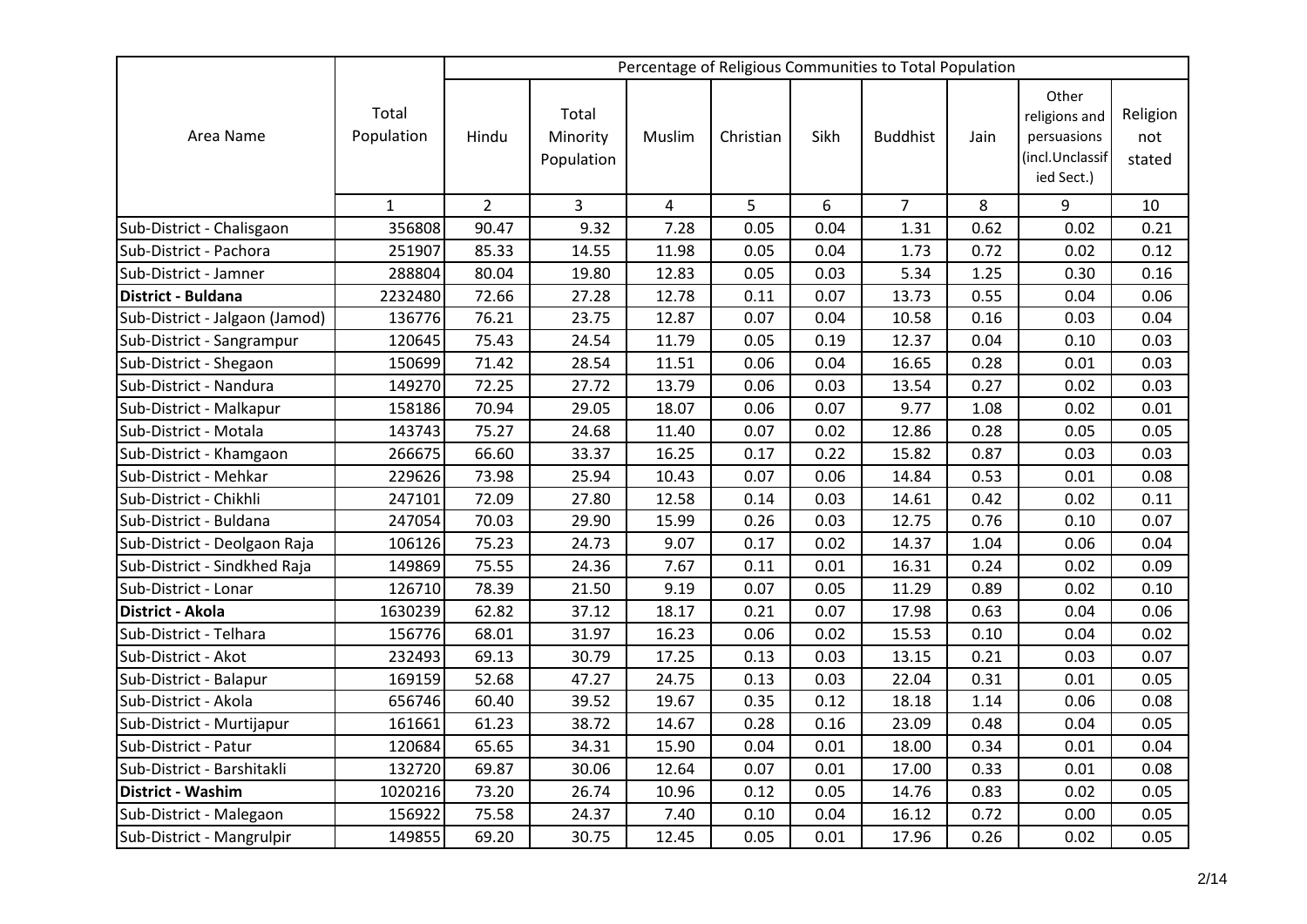|                                |                     |                |                                 |        |           |      | Percentage of Religious Communities to Total Population |      |                                                                        |                           |
|--------------------------------|---------------------|----------------|---------------------------------|--------|-----------|------|---------------------------------------------------------|------|------------------------------------------------------------------------|---------------------------|
| Area Name                      | Total<br>Population | Hindu          | Total<br>Minority<br>Population | Muslim | Christian | Sikh | <b>Buddhist</b>                                         | Jain | Other<br>religions and<br>persuasions<br>(incl.Unclassif<br>ied Sect.) | Religion<br>not<br>stated |
|                                | $\mathbf{1}$        | $\overline{2}$ | 3                               | 4      | 5         | 6    | $\overline{7}$                                          | 8    | 9                                                                      | 10                        |
| Sub-District - Chalisgaon      | 356808              | 90.47          | 9.32                            | 7.28   | 0.05      | 0.04 | 1.31                                                    | 0.62 | 0.02                                                                   | 0.21                      |
| Sub-District - Pachora         | 251907              | 85.33          | 14.55                           | 11.98  | 0.05      | 0.04 | 1.73                                                    | 0.72 | 0.02                                                                   | 0.12                      |
| Sub-District - Jamner          | 288804              | 80.04          | 19.80                           | 12.83  | 0.05      | 0.03 | 5.34                                                    | 1.25 | 0.30                                                                   | 0.16                      |
| District - Buldana             | 2232480             | 72.66          | 27.28                           | 12.78  | 0.11      | 0.07 | 13.73                                                   | 0.55 | 0.04                                                                   | 0.06                      |
| Sub-District - Jalgaon (Jamod) | 136776              | 76.21          | 23.75                           | 12.87  | 0.07      | 0.04 | 10.58                                                   | 0.16 | 0.03                                                                   | 0.04                      |
| Sub-District - Sangrampur      | 120645              | 75.43          | 24.54                           | 11.79  | 0.05      | 0.19 | 12.37                                                   | 0.04 | 0.10                                                                   | 0.03                      |
| Sub-District - Shegaon         | 150699              | 71.42          | 28.54                           | 11.51  | 0.06      | 0.04 | 16.65                                                   | 0.28 | 0.01                                                                   | 0.03                      |
| Sub-District - Nandura         | 149270              | 72.25          | 27.72                           | 13.79  | 0.06      | 0.03 | 13.54                                                   | 0.27 | 0.02                                                                   | 0.03                      |
| Sub-District - Malkapur        | 158186              | 70.94          | 29.05                           | 18.07  | 0.06      | 0.07 | 9.77                                                    | 1.08 | 0.02                                                                   | 0.01                      |
| Sub-District - Motala          | 143743              | 75.27          | 24.68                           | 11.40  | 0.07      | 0.02 | 12.86                                                   | 0.28 | 0.05                                                                   | 0.05                      |
| Sub-District - Khamgaon        | 266675              | 66.60          | 33.37                           | 16.25  | 0.17      | 0.22 | 15.82                                                   | 0.87 | 0.03                                                                   | 0.03                      |
| Sub-District - Mehkar          | 229626              | 73.98          | 25.94                           | 10.43  | 0.07      | 0.06 | 14.84                                                   | 0.53 | 0.01                                                                   | 0.08                      |
| Sub-District - Chikhli         | 247101              | 72.09          | 27.80                           | 12.58  | 0.14      | 0.03 | 14.61                                                   | 0.42 | 0.02                                                                   | 0.11                      |
| Sub-District - Buldana         | 247054              | 70.03          | 29.90                           | 15.99  | 0.26      | 0.03 | 12.75                                                   | 0.76 | 0.10                                                                   | 0.07                      |
| Sub-District - Deolgaon Raja   | 106126              | 75.23          | 24.73                           | 9.07   | 0.17      | 0.02 | 14.37                                                   | 1.04 | 0.06                                                                   | 0.04                      |
| Sub-District - Sindkhed Raja   | 149869              | 75.55          | 24.36                           | 7.67   | 0.11      | 0.01 | 16.31                                                   | 0.24 | 0.02                                                                   | 0.09                      |
| Sub-District - Lonar           | 126710              | 78.39          | 21.50                           | 9.19   | 0.07      | 0.05 | 11.29                                                   | 0.89 | 0.02                                                                   | 0.10                      |
| District - Akola               | 1630239             | 62.82          | 37.12                           | 18.17  | 0.21      | 0.07 | 17.98                                                   | 0.63 | 0.04                                                                   | 0.06                      |
| Sub-District - Telhara         | 156776              | 68.01          | 31.97                           | 16.23  | 0.06      | 0.02 | 15.53                                                   | 0.10 | 0.04                                                                   | 0.02                      |
| Sub-District - Akot            | 232493              | 69.13          | 30.79                           | 17.25  | 0.13      | 0.03 | 13.15                                                   | 0.21 | 0.03                                                                   | 0.07                      |
| Sub-District - Balapur         | 169159              | 52.68          | 47.27                           | 24.75  | 0.13      | 0.03 | 22.04                                                   | 0.31 | 0.01                                                                   | 0.05                      |
| Sub-District - Akola           | 656746              | 60.40          | 39.52                           | 19.67  | 0.35      | 0.12 | 18.18                                                   | 1.14 | 0.06                                                                   | 0.08                      |
| Sub-District - Murtijapur      | 161661              | 61.23          | 38.72                           | 14.67  | 0.28      | 0.16 | 23.09                                                   | 0.48 | 0.04                                                                   | 0.05                      |
| Sub-District - Patur           | 120684              | 65.65          | 34.31                           | 15.90  | 0.04      | 0.01 | 18.00                                                   | 0.34 | 0.01                                                                   | 0.04                      |
| Sub-District - Barshitakli     | 132720              | 69.87          | 30.06                           | 12.64  | 0.07      | 0.01 | 17.00                                                   | 0.33 | 0.01                                                                   | 0.08                      |
| <b>District - Washim</b>       | 1020216             | 73.20          | 26.74                           | 10.96  | 0.12      | 0.05 | 14.76                                                   | 0.83 | 0.02                                                                   | 0.05                      |
| Sub-District - Malegaon        | 156922              | 75.58          | 24.37                           | 7.40   | 0.10      | 0.04 | 16.12                                                   | 0.72 | 0.00                                                                   | 0.05                      |
| Sub-District - Mangrulpir      | 149855              | 69.20          | 30.75                           | 12.45  | 0.05      | 0.01 | 17.96                                                   | 0.26 | 0.02                                                                   | 0.05                      |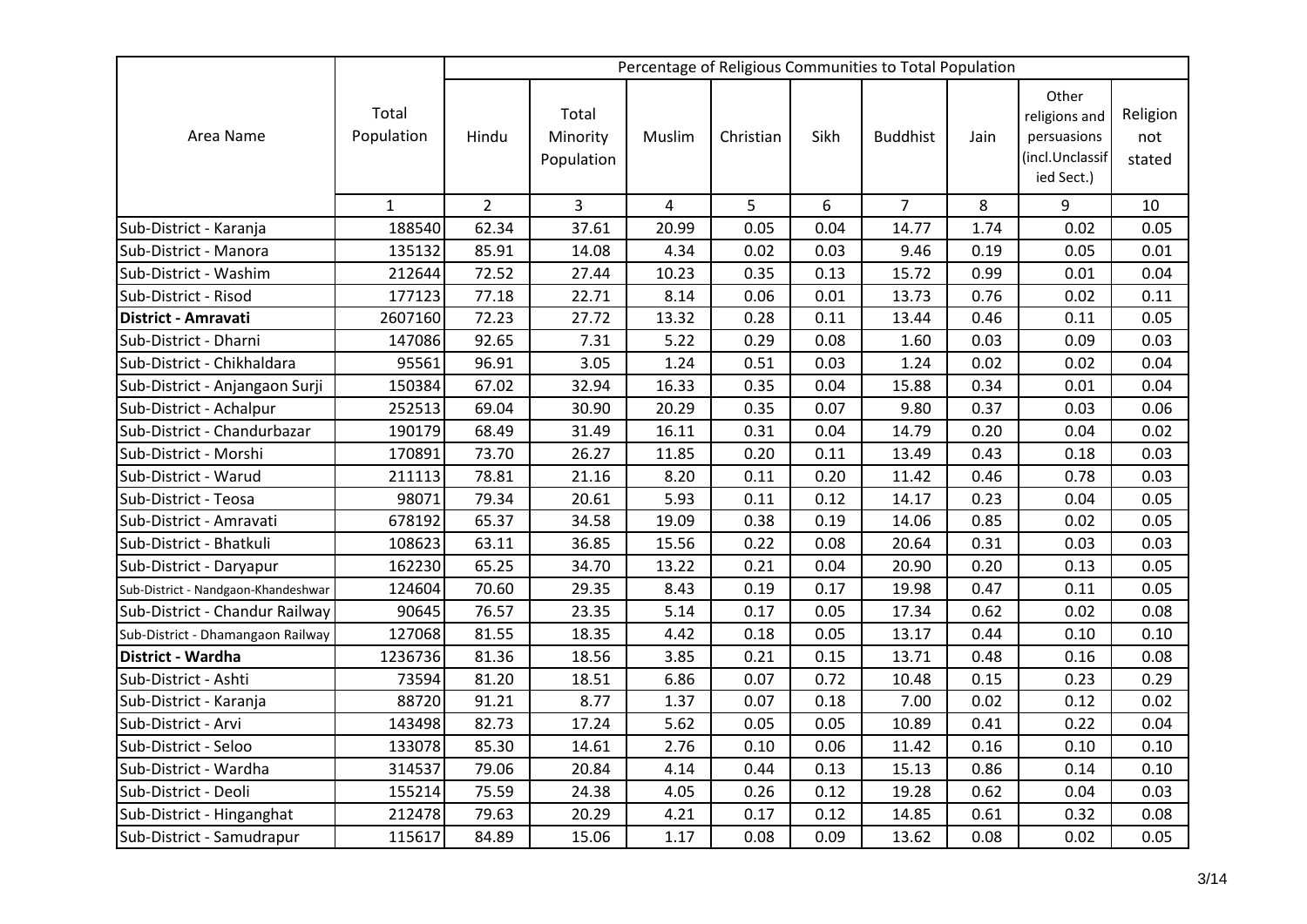|                                     |                     |                |                                 |                |           |      | Percentage of Religious Communities to Total Population |      |                                                                        |                           |
|-------------------------------------|---------------------|----------------|---------------------------------|----------------|-----------|------|---------------------------------------------------------|------|------------------------------------------------------------------------|---------------------------|
| Area Name                           | Total<br>Population | Hindu          | Total<br>Minority<br>Population | Muslim         | Christian | Sikh | <b>Buddhist</b>                                         | Jain | Other<br>religions and<br>persuasions<br>(incl.Unclassif<br>ied Sect.) | Religion<br>not<br>stated |
|                                     | $\mathbf{1}$        | $\overline{2}$ | 3                               | $\overline{4}$ | 5         | 6    | $\overline{7}$                                          | 8    | 9                                                                      | 10                        |
| Sub-District - Karanja              | 188540              | 62.34          | 37.61                           | 20.99          | 0.05      | 0.04 | 14.77                                                   | 1.74 | 0.02                                                                   | 0.05                      |
| Sub-District - Manora               | 135132              | 85.91          | 14.08                           | 4.34           | 0.02      | 0.03 | 9.46                                                    | 0.19 | 0.05                                                                   | 0.01                      |
| Sub-District - Washim               | 212644              | 72.52          | 27.44                           | 10.23          | 0.35      | 0.13 | 15.72                                                   | 0.99 | 0.01                                                                   | 0.04                      |
| Sub-District - Risod                | 177123              | 77.18          | 22.71                           | 8.14           | 0.06      | 0.01 | 13.73                                                   | 0.76 | 0.02                                                                   | 0.11                      |
| District - Amravati                 | 2607160             | 72.23          | 27.72                           | 13.32          | 0.28      | 0.11 | 13.44                                                   | 0.46 | 0.11                                                                   | 0.05                      |
| Sub-District - Dharni               | 147086              | 92.65          | 7.31                            | 5.22           | 0.29      | 0.08 | 1.60                                                    | 0.03 | 0.09                                                                   | 0.03                      |
| Sub-District - Chikhaldara          | 95561               | 96.91          | 3.05                            | 1.24           | 0.51      | 0.03 | 1.24                                                    | 0.02 | 0.02                                                                   | 0.04                      |
| Sub-District - Anjangaon Surji      | 150384              | 67.02          | 32.94                           | 16.33          | 0.35      | 0.04 | 15.88                                                   | 0.34 | 0.01                                                                   | 0.04                      |
| Sub-District - Achalpur             | 252513              | 69.04          | 30.90                           | 20.29          | 0.35      | 0.07 | 9.80                                                    | 0.37 | 0.03                                                                   | 0.06                      |
| Sub-District - Chandurbazar         | 190179              | 68.49          | 31.49                           | 16.11          | 0.31      | 0.04 | 14.79                                                   | 0.20 | 0.04                                                                   | 0.02                      |
| Sub-District - Morshi               | 170891              | 73.70          | 26.27                           | 11.85          | 0.20      | 0.11 | 13.49                                                   | 0.43 | 0.18                                                                   | 0.03                      |
| Sub-District - Warud                | 211113              | 78.81          | 21.16                           | 8.20           | 0.11      | 0.20 | 11.42                                                   | 0.46 | 0.78                                                                   | 0.03                      |
| Sub-District - Teosa                | 98071               | 79.34          | 20.61                           | 5.93           | 0.11      | 0.12 | 14.17                                                   | 0.23 | 0.04                                                                   | 0.05                      |
| Sub-District - Amravati             | 678192              | 65.37          | 34.58                           | 19.09          | 0.38      | 0.19 | 14.06                                                   | 0.85 | 0.02                                                                   | 0.05                      |
| Sub-District - Bhatkuli             | 108623              | 63.11          | 36.85                           | 15.56          | 0.22      | 0.08 | 20.64                                                   | 0.31 | 0.03                                                                   | 0.03                      |
| Sub-District - Daryapur             | 162230              | 65.25          | 34.70                           | 13.22          | 0.21      | 0.04 | 20.90                                                   | 0.20 | 0.13                                                                   | 0.05                      |
| Sub-District - Nandgaon-Khandeshwar | 124604              | 70.60          | 29.35                           | 8.43           | 0.19      | 0.17 | 19.98                                                   | 0.47 | 0.11                                                                   | 0.05                      |
| Sub-District - Chandur Railway      | 90645               | 76.57          | 23.35                           | 5.14           | 0.17      | 0.05 | 17.34                                                   | 0.62 | 0.02                                                                   | 0.08                      |
| Sub-District - Dhamangaon Railway   | 127068              | 81.55          | 18.35                           | 4.42           | 0.18      | 0.05 | 13.17                                                   | 0.44 | 0.10                                                                   | 0.10                      |
| District - Wardha                   | 1236736             | 81.36          | 18.56                           | 3.85           | 0.21      | 0.15 | 13.71                                                   | 0.48 | 0.16                                                                   | 0.08                      |
| Sub-District - Ashti                | 73594               | 81.20          | 18.51                           | 6.86           | 0.07      | 0.72 | 10.48                                                   | 0.15 | 0.23                                                                   | 0.29                      |
| Sub-District - Karanja              | 88720               | 91.21          | 8.77                            | 1.37           | 0.07      | 0.18 | 7.00                                                    | 0.02 | 0.12                                                                   | 0.02                      |
| Sub-District - Arvi                 | 143498              | 82.73          | 17.24                           | 5.62           | 0.05      | 0.05 | 10.89                                                   | 0.41 | 0.22                                                                   | 0.04                      |
| Sub-District - Seloo                | 133078              | 85.30          | 14.61                           | 2.76           | 0.10      | 0.06 | 11.42                                                   | 0.16 | 0.10                                                                   | 0.10                      |
| Sub-District - Wardha               | 314537              | 79.06          | 20.84                           | 4.14           | 0.44      | 0.13 | 15.13                                                   | 0.86 | 0.14                                                                   | 0.10                      |
| Sub-District - Deoli                | 155214              | 75.59          | 24.38                           | 4.05           | 0.26      | 0.12 | 19.28                                                   | 0.62 | 0.04                                                                   | 0.03                      |
| Sub-District - Hinganghat           | 212478              | 79.63          | 20.29                           | 4.21           | 0.17      | 0.12 | 14.85                                                   | 0.61 | 0.32                                                                   | 0.08                      |
| Sub-District - Samudrapur           | 115617              | 84.89          | 15.06                           | 1.17           | 0.08      | 0.09 | 13.62                                                   | 0.08 | 0.02                                                                   | 0.05                      |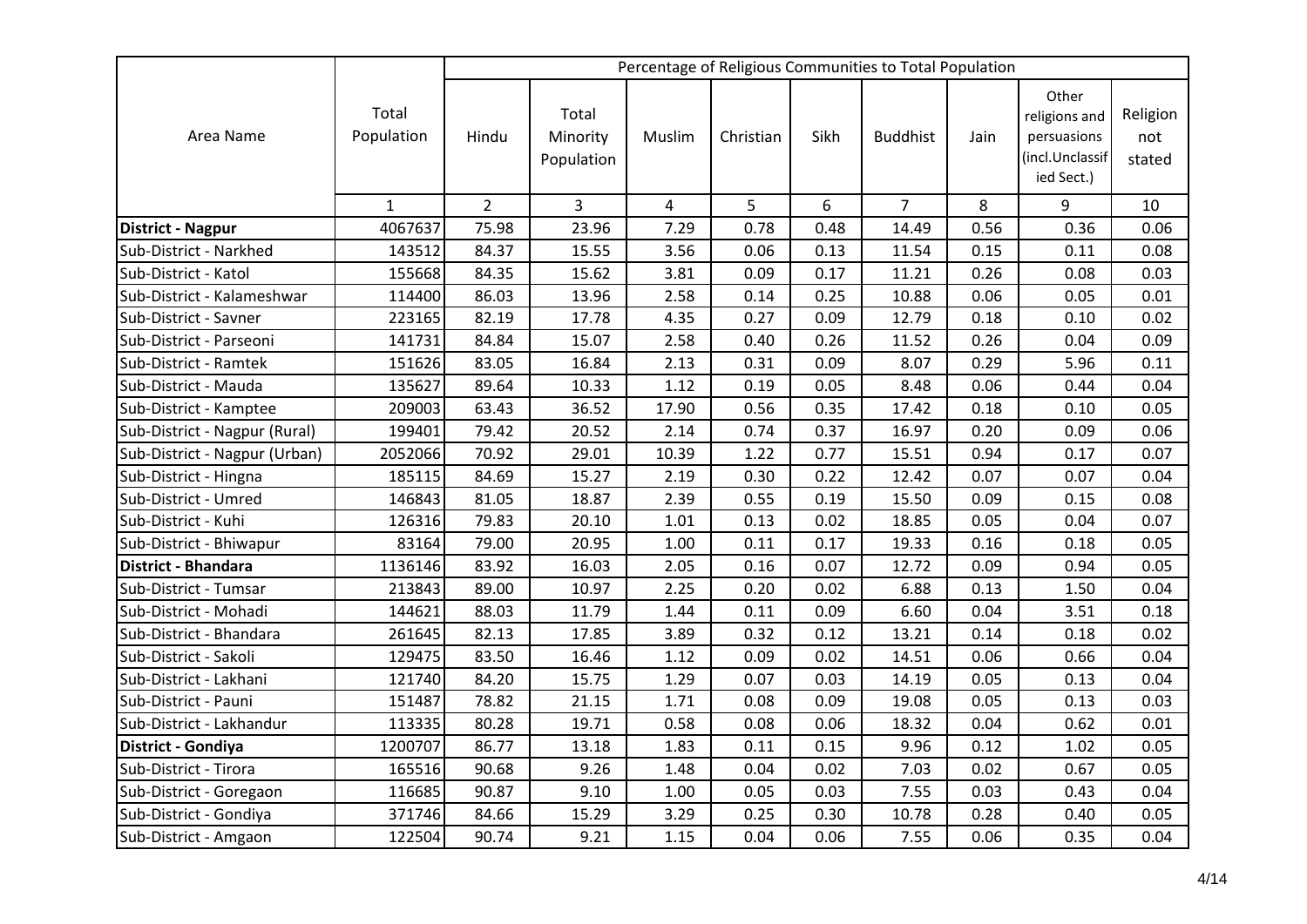|                               |                     |                |                                 |                |           |      | Percentage of Religious Communities to Total Population |      |                                                                        |                           |
|-------------------------------|---------------------|----------------|---------------------------------|----------------|-----------|------|---------------------------------------------------------|------|------------------------------------------------------------------------|---------------------------|
| Area Name                     | Total<br>Population | Hindu          | Total<br>Minority<br>Population | Muslim         | Christian | Sikh | <b>Buddhist</b>                                         | Jain | Other<br>religions and<br>persuasions<br>(incl.Unclassif<br>ied Sect.) | Religion<br>not<br>stated |
|                               | $\mathbf{1}$        | $\overline{2}$ | 3                               | $\overline{a}$ | 5         | 6    | $\overline{7}$                                          | 8    | 9                                                                      | 10                        |
| <b>District - Nagpur</b>      | 4067637             | 75.98          | 23.96                           | 7.29           | 0.78      | 0.48 | 14.49                                                   | 0.56 | 0.36                                                                   | 0.06                      |
| Sub-District - Narkhed        | 143512              | 84.37          | 15.55                           | 3.56           | 0.06      | 0.13 | 11.54                                                   | 0.15 | 0.11                                                                   | 0.08                      |
| Sub-District - Katol          | 155668              | 84.35          | 15.62                           | 3.81           | 0.09      | 0.17 | 11.21                                                   | 0.26 | 0.08                                                                   | 0.03                      |
| Sub-District - Kalameshwar    | 114400              | 86.03          | 13.96                           | 2.58           | 0.14      | 0.25 | 10.88                                                   | 0.06 | 0.05                                                                   | 0.01                      |
| Sub-District - Savner         | 223165              | 82.19          | 17.78                           | 4.35           | 0.27      | 0.09 | 12.79                                                   | 0.18 | 0.10                                                                   | 0.02                      |
| Sub-District - Parseoni       | 141731              | 84.84          | 15.07                           | 2.58           | 0.40      | 0.26 | 11.52                                                   | 0.26 | 0.04                                                                   | 0.09                      |
| Sub-District - Ramtek         | 151626              | 83.05          | 16.84                           | 2.13           | 0.31      | 0.09 | 8.07                                                    | 0.29 | 5.96                                                                   | 0.11                      |
| Sub-District - Mauda          | 135627              | 89.64          | 10.33                           | 1.12           | 0.19      | 0.05 | 8.48                                                    | 0.06 | 0.44                                                                   | 0.04                      |
| Sub-District - Kamptee        | 209003              | 63.43          | 36.52                           | 17.90          | 0.56      | 0.35 | 17.42                                                   | 0.18 | 0.10                                                                   | 0.05                      |
| Sub-District - Nagpur (Rural) | 199401              | 79.42          | 20.52                           | 2.14           | 0.74      | 0.37 | 16.97                                                   | 0.20 | 0.09                                                                   | 0.06                      |
| Sub-District - Nagpur (Urban) | 2052066             | 70.92          | 29.01                           | 10.39          | 1.22      | 0.77 | 15.51                                                   | 0.94 | 0.17                                                                   | 0.07                      |
| Sub-District - Hingna         | 185115              | 84.69          | 15.27                           | 2.19           | 0.30      | 0.22 | 12.42                                                   | 0.07 | 0.07                                                                   | 0.04                      |
| Sub-District - Umred          | 146843              | 81.05          | 18.87                           | 2.39           | 0.55      | 0.19 | 15.50                                                   | 0.09 | 0.15                                                                   | 0.08                      |
| Sub-District - Kuhi           | 126316              | 79.83          | 20.10                           | 1.01           | 0.13      | 0.02 | 18.85                                                   | 0.05 | 0.04                                                                   | 0.07                      |
| Sub-District - Bhiwapur       | 83164               | 79.00          | 20.95                           | 1.00           | 0.11      | 0.17 | 19.33                                                   | 0.16 | 0.18                                                                   | 0.05                      |
| District - Bhandara           | 1136146             | 83.92          | 16.03                           | 2.05           | 0.16      | 0.07 | 12.72                                                   | 0.09 | 0.94                                                                   | 0.05                      |
| Sub-District - Tumsar         | 213843              | 89.00          | 10.97                           | 2.25           | 0.20      | 0.02 | 6.88                                                    | 0.13 | 1.50                                                                   | 0.04                      |
| Sub-District - Mohadi         | 144621              | 88.03          | 11.79                           | 1.44           | 0.11      | 0.09 | 6.60                                                    | 0.04 | 3.51                                                                   | 0.18                      |
| Sub-District - Bhandara       | 261645              | 82.13          | 17.85                           | 3.89           | 0.32      | 0.12 | 13.21                                                   | 0.14 | 0.18                                                                   | 0.02                      |
| Sub-District - Sakoli         | 129475              | 83.50          | 16.46                           | 1.12           | 0.09      | 0.02 | 14.51                                                   | 0.06 | 0.66                                                                   | 0.04                      |
| Sub-District - Lakhani        | 121740              | 84.20          | 15.75                           | 1.29           | 0.07      | 0.03 | 14.19                                                   | 0.05 | 0.13                                                                   | 0.04                      |
| Sub-District - Pauni          | 151487              | 78.82          | 21.15                           | 1.71           | 0.08      | 0.09 | 19.08                                                   | 0.05 | 0.13                                                                   | 0.03                      |
| Sub-District - Lakhandur      | 113335              | 80.28          | 19.71                           | 0.58           | 0.08      | 0.06 | 18.32                                                   | 0.04 | 0.62                                                                   | 0.01                      |
| District - Gondiya            | 1200707             | 86.77          | 13.18                           | 1.83           | 0.11      | 0.15 | 9.96                                                    | 0.12 | 1.02                                                                   | 0.05                      |
| Sub-District - Tirora         | 165516              | 90.68          | 9.26                            | 1.48           | 0.04      | 0.02 | 7.03                                                    | 0.02 | 0.67                                                                   | 0.05                      |
| Sub-District - Goregaon       | 116685              | 90.87          | 9.10                            | 1.00           | 0.05      | 0.03 | 7.55                                                    | 0.03 | 0.43                                                                   | 0.04                      |
| Sub-District - Gondiya        | 371746              | 84.66          | 15.29                           | 3.29           | 0.25      | 0.30 | 10.78                                                   | 0.28 | 0.40                                                                   | 0.05                      |
| Sub-District - Amgaon         | 122504              | 90.74          | 9.21                            | 1.15           | 0.04      | 0.06 | 7.55                                                    | 0.06 | 0.35                                                                   | 0.04                      |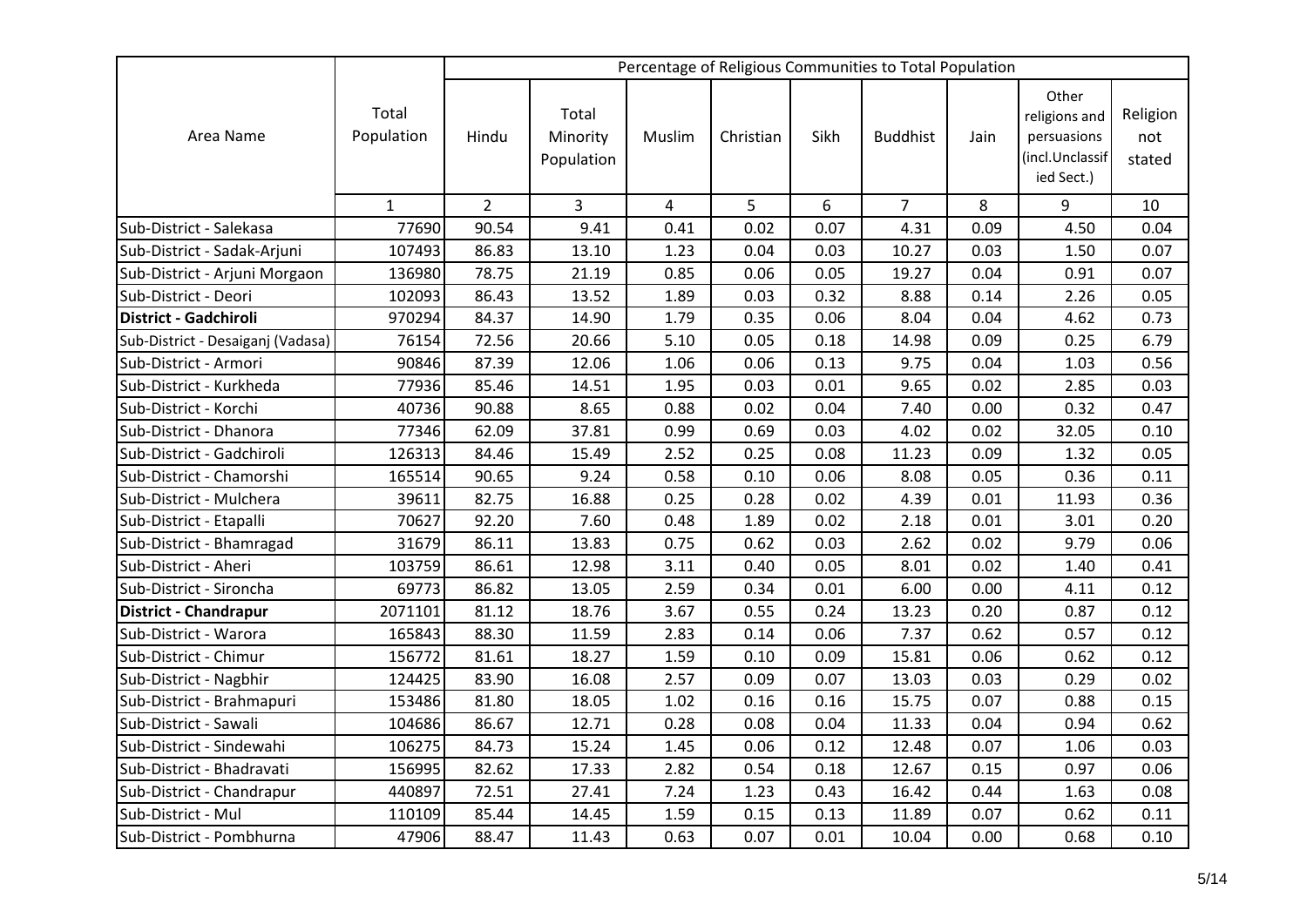|                                   |                     |                |                                 |        |           |      | Percentage of Religious Communities to Total Population |      |                                                                        |                           |
|-----------------------------------|---------------------|----------------|---------------------------------|--------|-----------|------|---------------------------------------------------------|------|------------------------------------------------------------------------|---------------------------|
| Area Name                         | Total<br>Population | Hindu          | Total<br>Minority<br>Population | Muslim | Christian | Sikh | <b>Buddhist</b>                                         | Jain | Other<br>religions and<br>persuasions<br>(incl.Unclassif<br>ied Sect.) | Religion<br>not<br>stated |
|                                   | $\mathbf{1}$        | $\overline{2}$ | 3                               | 4      | 5         | 6    | $\overline{7}$                                          | 8    | 9                                                                      | 10                        |
| Sub-District - Salekasa           | 77690               | 90.54          | 9.41                            | 0.41   | 0.02      | 0.07 | 4.31                                                    | 0.09 | 4.50                                                                   | 0.04                      |
| Sub-District - Sadak-Arjuni       | 107493              | 86.83          | 13.10                           | 1.23   | 0.04      | 0.03 | 10.27                                                   | 0.03 | 1.50                                                                   | 0.07                      |
| Sub-District - Arjuni Morgaon     | 136980              | 78.75          | 21.19                           | 0.85   | 0.06      | 0.05 | 19.27                                                   | 0.04 | 0.91                                                                   | 0.07                      |
| Sub-District - Deori              | 102093              | 86.43          | 13.52                           | 1.89   | 0.03      | 0.32 | 8.88                                                    | 0.14 | 2.26                                                                   | 0.05                      |
| District - Gadchiroli             | 970294              | 84.37          | 14.90                           | 1.79   | 0.35      | 0.06 | 8.04                                                    | 0.04 | 4.62                                                                   | 0.73                      |
| Sub-District - Desaiganj (Vadasa) | 76154               | 72.56          | 20.66                           | 5.10   | 0.05      | 0.18 | 14.98                                                   | 0.09 | 0.25                                                                   | 6.79                      |
| Sub-District - Armori             | 90846               | 87.39          | 12.06                           | 1.06   | 0.06      | 0.13 | 9.75                                                    | 0.04 | 1.03                                                                   | 0.56                      |
| Sub-District - Kurkheda           | 77936               | 85.46          | 14.51                           | 1.95   | 0.03      | 0.01 | 9.65                                                    | 0.02 | 2.85                                                                   | 0.03                      |
| Sub-District - Korchi             | 40736               | 90.88          | 8.65                            | 0.88   | 0.02      | 0.04 | 7.40                                                    | 0.00 | 0.32                                                                   | 0.47                      |
| Sub-District - Dhanora            | 77346               | 62.09          | 37.81                           | 0.99   | 0.69      | 0.03 | 4.02                                                    | 0.02 | 32.05                                                                  | 0.10                      |
| Sub-District - Gadchiroli         | 126313              | 84.46          | 15.49                           | 2.52   | 0.25      | 0.08 | 11.23                                                   | 0.09 | 1.32                                                                   | 0.05                      |
| Sub-District - Chamorshi          | 165514              | 90.65          | 9.24                            | 0.58   | 0.10      | 0.06 | 8.08                                                    | 0.05 | 0.36                                                                   | 0.11                      |
| Sub-District - Mulchera           | 39611               | 82.75          | 16.88                           | 0.25   | 0.28      | 0.02 | 4.39                                                    | 0.01 | 11.93                                                                  | 0.36                      |
| Sub-District - Etapalli           | 70627               | 92.20          | 7.60                            | 0.48   | 1.89      | 0.02 | 2.18                                                    | 0.01 | 3.01                                                                   | 0.20                      |
| Sub-District - Bhamragad          | 31679               | 86.11          | 13.83                           | 0.75   | 0.62      | 0.03 | 2.62                                                    | 0.02 | 9.79                                                                   | 0.06                      |
| Sub-District - Aheri              | 103759              | 86.61          | 12.98                           | 3.11   | 0.40      | 0.05 | 8.01                                                    | 0.02 | 1.40                                                                   | 0.41                      |
| Sub-District - Sironcha           | 69773               | 86.82          | 13.05                           | 2.59   | 0.34      | 0.01 | 6.00                                                    | 0.00 | 4.11                                                                   | 0.12                      |
| District - Chandrapur             | 2071101             | 81.12          | 18.76                           | 3.67   | 0.55      | 0.24 | 13.23                                                   | 0.20 | 0.87                                                                   | 0.12                      |
| Sub-District - Warora             | 165843              | 88.30          | 11.59                           | 2.83   | 0.14      | 0.06 | 7.37                                                    | 0.62 | 0.57                                                                   | 0.12                      |
| Sub-District - Chimur             | 156772              | 81.61          | 18.27                           | 1.59   | 0.10      | 0.09 | 15.81                                                   | 0.06 | 0.62                                                                   | 0.12                      |
| Sub-District - Nagbhir            | 124425              | 83.90          | 16.08                           | 2.57   | 0.09      | 0.07 | 13.03                                                   | 0.03 | 0.29                                                                   | 0.02                      |
| Sub-District - Brahmapuri         | 153486              | 81.80          | 18.05                           | 1.02   | 0.16      | 0.16 | 15.75                                                   | 0.07 | 0.88                                                                   | 0.15                      |
| Sub-District - Sawali             | 104686              | 86.67          | 12.71                           | 0.28   | 0.08      | 0.04 | 11.33                                                   | 0.04 | 0.94                                                                   | 0.62                      |
| Sub-District - Sindewahi          | 106275              | 84.73          | 15.24                           | 1.45   | 0.06      | 0.12 | 12.48                                                   | 0.07 | 1.06                                                                   | 0.03                      |
| Sub-District - Bhadravati         | 156995              | 82.62          | 17.33                           | 2.82   | 0.54      | 0.18 | 12.67                                                   | 0.15 | 0.97                                                                   | 0.06                      |
| Sub-District - Chandrapur         | 440897              | 72.51          | 27.41                           | 7.24   | 1.23      | 0.43 | 16.42                                                   | 0.44 | 1.63                                                                   | 0.08                      |
| Sub-District - Mul                | 110109              | 85.44          | 14.45                           | 1.59   | 0.15      | 0.13 | 11.89                                                   | 0.07 | 0.62                                                                   | 0.11                      |
| Sub-District - Pombhurna          | 47906               | 88.47          | 11.43                           | 0.63   | 0.07      | 0.01 | 10.04                                                   | 0.00 | 0.68                                                                   | 0.10                      |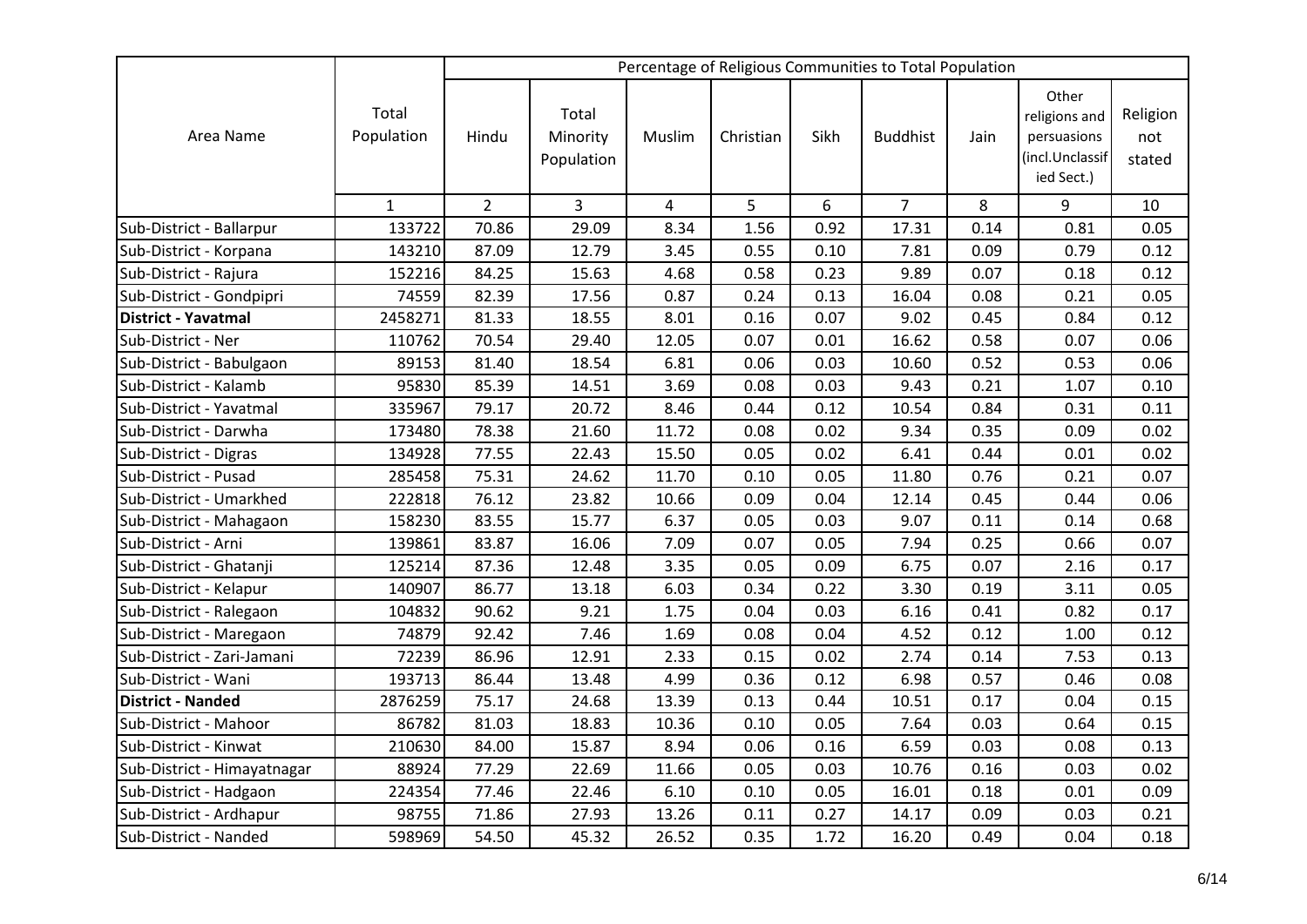|                             |                     |                |                                 |        |           |      | Percentage of Religious Communities to Total Population |      |                                                                        |                           |
|-----------------------------|---------------------|----------------|---------------------------------|--------|-----------|------|---------------------------------------------------------|------|------------------------------------------------------------------------|---------------------------|
| Area Name                   | Total<br>Population | Hindu          | Total<br>Minority<br>Population | Muslim | Christian | Sikh | <b>Buddhist</b>                                         | Jain | Other<br>religions and<br>persuasions<br>(incl.Unclassif<br>ied Sect.) | Religion<br>not<br>stated |
|                             | $\mathbf{1}$        | $\overline{2}$ | 3                               | 4      | 5         | 6    | $\overline{7}$                                          | 8    | 9                                                                      | 10                        |
| Sub-District - Ballarpur    | 133722              | 70.86          | 29.09                           | 8.34   | 1.56      | 0.92 | 17.31                                                   | 0.14 | 0.81                                                                   | 0.05                      |
| Sub-District - Korpana      | 143210              | 87.09          | 12.79                           | 3.45   | 0.55      | 0.10 | 7.81                                                    | 0.09 | 0.79                                                                   | 0.12                      |
| Sub-District - Rajura       | 152216              | 84.25          | 15.63                           | 4.68   | 0.58      | 0.23 | 9.89                                                    | 0.07 | 0.18                                                                   | 0.12                      |
| Sub-District - Gondpipri    | 74559               | 82.39          | 17.56                           | 0.87   | 0.24      | 0.13 | 16.04                                                   | 0.08 | 0.21                                                                   | 0.05                      |
| <b>District - Yavatmal</b>  | 2458271             | 81.33          | 18.55                           | 8.01   | 0.16      | 0.07 | 9.02                                                    | 0.45 | 0.84                                                                   | 0.12                      |
| Sub-District - Ner          | 110762              | 70.54          | 29.40                           | 12.05  | 0.07      | 0.01 | 16.62                                                   | 0.58 | 0.07                                                                   | 0.06                      |
| Sub-District - Babulgaon    | 89153               | 81.40          | 18.54                           | 6.81   | 0.06      | 0.03 | 10.60                                                   | 0.52 | 0.53                                                                   | 0.06                      |
| Sub-District - Kalamb       | 95830               | 85.39          | 14.51                           | 3.69   | 0.08      | 0.03 | 9.43                                                    | 0.21 | 1.07                                                                   | 0.10                      |
| Sub-District - Yavatmal     | 335967              | 79.17          | 20.72                           | 8.46   | 0.44      | 0.12 | 10.54                                                   | 0.84 | 0.31                                                                   | 0.11                      |
| Sub-District - Darwha       | 173480              | 78.38          | 21.60                           | 11.72  | 0.08      | 0.02 | 9.34                                                    | 0.35 | 0.09                                                                   | 0.02                      |
| Sub-District - Digras       | 134928              | 77.55          | 22.43                           | 15.50  | 0.05      | 0.02 | 6.41                                                    | 0.44 | 0.01                                                                   | 0.02                      |
| Sub-District - Pusad        | 285458              | 75.31          | 24.62                           | 11.70  | 0.10      | 0.05 | 11.80                                                   | 0.76 | 0.21                                                                   | 0.07                      |
| Sub-District - Umarkhed     | 222818              | 76.12          | 23.82                           | 10.66  | 0.09      | 0.04 | 12.14                                                   | 0.45 | 0.44                                                                   | 0.06                      |
| Sub-District - Mahagaon     | 158230              | 83.55          | 15.77                           | 6.37   | 0.05      | 0.03 | 9.07                                                    | 0.11 | 0.14                                                                   | 0.68                      |
| Sub-District - Arni         | 139861              | 83.87          | 16.06                           | 7.09   | 0.07      | 0.05 | 7.94                                                    | 0.25 | 0.66                                                                   | 0.07                      |
| Sub-District - Ghatanji     | 125214              | 87.36          | 12.48                           | 3.35   | 0.05      | 0.09 | 6.75                                                    | 0.07 | 2.16                                                                   | 0.17                      |
| Sub-District - Kelapur      | 140907              | 86.77          | 13.18                           | 6.03   | 0.34      | 0.22 | 3.30                                                    | 0.19 | 3.11                                                                   | 0.05                      |
| Sub-District - Ralegaon     | 104832              | 90.62          | 9.21                            | 1.75   | 0.04      | 0.03 | 6.16                                                    | 0.41 | 0.82                                                                   | 0.17                      |
| Sub-District - Maregaon     | 74879               | 92.42          | 7.46                            | 1.69   | 0.08      | 0.04 | 4.52                                                    | 0.12 | 1.00                                                                   | 0.12                      |
| Sub-District - Zari-Jamani  | 72239               | 86.96          | 12.91                           | 2.33   | 0.15      | 0.02 | 2.74                                                    | 0.14 | 7.53                                                                   | 0.13                      |
| Sub-District - Wani         | 193713              | 86.44          | 13.48                           | 4.99   | 0.36      | 0.12 | 6.98                                                    | 0.57 | 0.46                                                                   | 0.08                      |
| <b>District - Nanded</b>    | 2876259             | 75.17          | 24.68                           | 13.39  | 0.13      | 0.44 | 10.51                                                   | 0.17 | 0.04                                                                   | 0.15                      |
| Sub-District - Mahoor       | 86782               | 81.03          | 18.83                           | 10.36  | 0.10      | 0.05 | 7.64                                                    | 0.03 | 0.64                                                                   | 0.15                      |
| Sub-District - Kinwat       | 210630              | 84.00          | 15.87                           | 8.94   | 0.06      | 0.16 | 6.59                                                    | 0.03 | 0.08                                                                   | 0.13                      |
| Sub-District - Himayatnagar | 88924               | 77.29          | 22.69                           | 11.66  | 0.05      | 0.03 | 10.76                                                   | 0.16 | 0.03                                                                   | 0.02                      |
| Sub-District - Hadgaon      | 224354              | 77.46          | 22.46                           | 6.10   | 0.10      | 0.05 | 16.01                                                   | 0.18 | 0.01                                                                   | 0.09                      |
| Sub-District - Ardhapur     | 98755               | 71.86          | 27.93                           | 13.26  | 0.11      | 0.27 | 14.17                                                   | 0.09 | 0.03                                                                   | 0.21                      |
| Sub-District - Nanded       | 598969              | 54.50          | 45.32                           | 26.52  | 0.35      | 1.72 | 16.20                                                   | 0.49 | 0.04                                                                   | 0.18                      |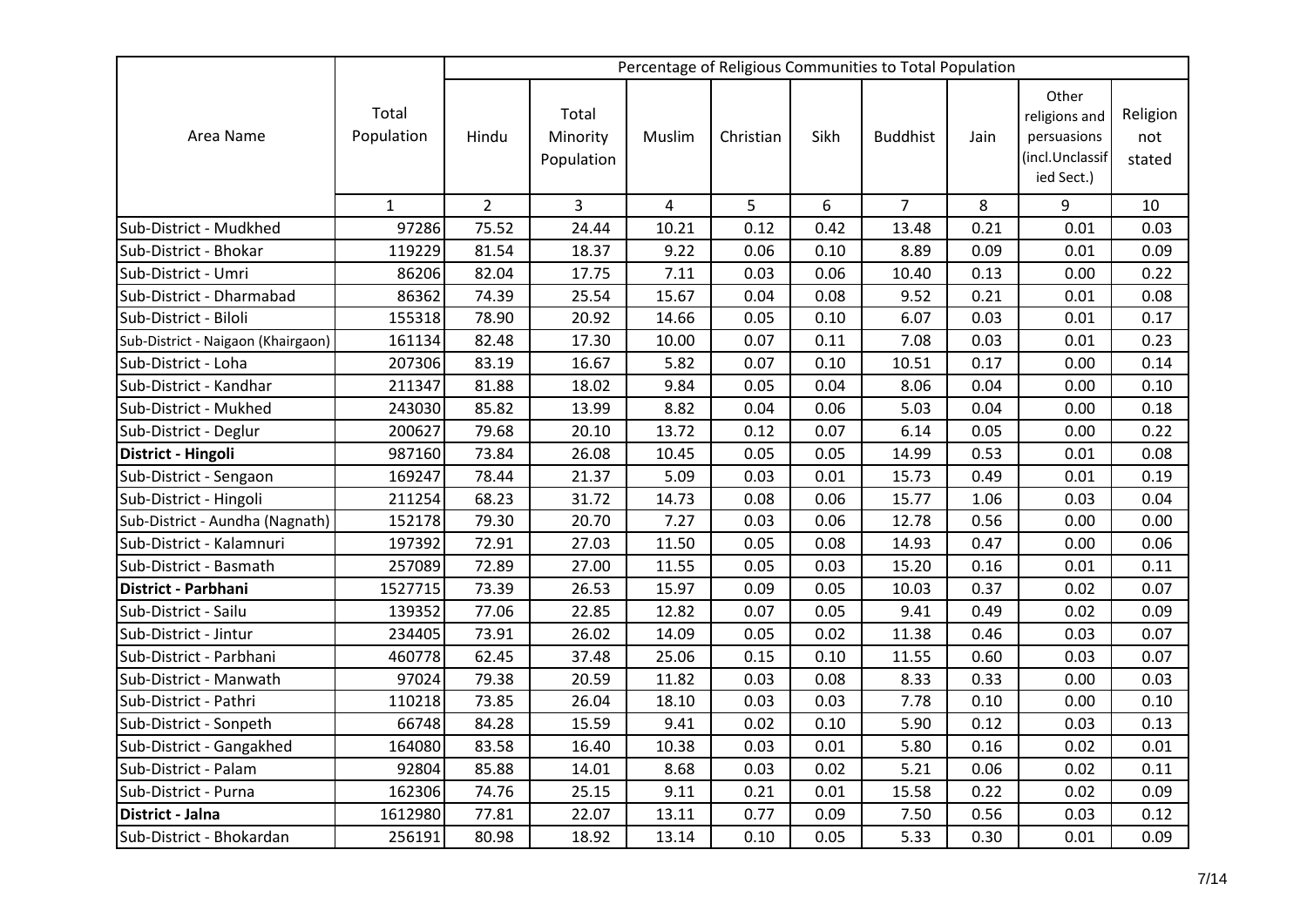|                                    |                     |                |                                 |            |           |      | Percentage of Religious Communities to Total Population |      |                                                                        |                           |
|------------------------------------|---------------------|----------------|---------------------------------|------------|-----------|------|---------------------------------------------------------|------|------------------------------------------------------------------------|---------------------------|
| Area Name                          | Total<br>Population | Hindu          | Total<br>Minority<br>Population | Muslim     | Christian | Sikh | <b>Buddhist</b>                                         | Jain | Other<br>religions and<br>persuasions<br>(incl.Unclassif<br>ied Sect.) | Religion<br>not<br>stated |
|                                    | $\mathbf{1}$        | $\overline{2}$ | 3                               | $\sqrt{4}$ | 5         | 6    | $\overline{7}$                                          | 8    | 9                                                                      | 10                        |
| Sub-District - Mudkhed             | 97286               | 75.52          | 24.44                           | 10.21      | 0.12      | 0.42 | 13.48                                                   | 0.21 | 0.01                                                                   | 0.03                      |
| Sub-District - Bhokar              | 119229              | 81.54          | 18.37                           | 9.22       | 0.06      | 0.10 | 8.89                                                    | 0.09 | 0.01                                                                   | 0.09                      |
| Sub-District - Umri                | 86206               | 82.04          | 17.75                           | 7.11       | 0.03      | 0.06 | 10.40                                                   | 0.13 | 0.00                                                                   | 0.22                      |
| Sub-District - Dharmabad           | 86362               | 74.39          | 25.54                           | 15.67      | 0.04      | 0.08 | 9.52                                                    | 0.21 | 0.01                                                                   | 0.08                      |
| Sub-District - Biloli              | 155318              | 78.90          | 20.92                           | 14.66      | 0.05      | 0.10 | 6.07                                                    | 0.03 | 0.01                                                                   | 0.17                      |
| Sub-District - Naigaon (Khairgaon) | 161134              | 82.48          | 17.30                           | 10.00      | 0.07      | 0.11 | 7.08                                                    | 0.03 | 0.01                                                                   | 0.23                      |
| Sub-District - Loha                | 207306              | 83.19          | 16.67                           | 5.82       | 0.07      | 0.10 | 10.51                                                   | 0.17 | 0.00                                                                   | 0.14                      |
| Sub-District - Kandhar             | 211347              | 81.88          | 18.02                           | 9.84       | 0.05      | 0.04 | 8.06                                                    | 0.04 | 0.00                                                                   | 0.10                      |
| Sub-District - Mukhed              | 243030              | 85.82          | 13.99                           | 8.82       | 0.04      | 0.06 | 5.03                                                    | 0.04 | 0.00                                                                   | 0.18                      |
| Sub-District - Deglur              | 200627              | 79.68          | 20.10                           | 13.72      | 0.12      | 0.07 | 6.14                                                    | 0.05 | 0.00                                                                   | 0.22                      |
| District - Hingoli                 | 987160              | 73.84          | 26.08                           | 10.45      | 0.05      | 0.05 | 14.99                                                   | 0.53 | 0.01                                                                   | 0.08                      |
| Sub-District - Sengaon             | 169247              | 78.44          | 21.37                           | 5.09       | 0.03      | 0.01 | 15.73                                                   | 0.49 | 0.01                                                                   | 0.19                      |
| Sub-District - Hingoli             | 211254              | 68.23          | 31.72                           | 14.73      | 0.08      | 0.06 | 15.77                                                   | 1.06 | 0.03                                                                   | 0.04                      |
| Sub-District - Aundha (Nagnath)    | 152178              | 79.30          | 20.70                           | 7.27       | 0.03      | 0.06 | 12.78                                                   | 0.56 | 0.00                                                                   | 0.00                      |
| Sub-District - Kalamnuri           | 197392              | 72.91          | 27.03                           | 11.50      | 0.05      | 0.08 | 14.93                                                   | 0.47 | 0.00                                                                   | 0.06                      |
| Sub-District - Basmath             | 257089              | 72.89          | 27.00                           | 11.55      | 0.05      | 0.03 | 15.20                                                   | 0.16 | 0.01                                                                   | 0.11                      |
| District - Parbhani                | 1527715             | 73.39          | 26.53                           | 15.97      | 0.09      | 0.05 | 10.03                                                   | 0.37 | 0.02                                                                   | 0.07                      |
| Sub-District - Sailu               | 139352              | 77.06          | 22.85                           | 12.82      | 0.07      | 0.05 | 9.41                                                    | 0.49 | 0.02                                                                   | 0.09                      |
| Sub-District - Jintur              | 234405              | 73.91          | 26.02                           | 14.09      | 0.05      | 0.02 | 11.38                                                   | 0.46 | 0.03                                                                   | 0.07                      |
| Sub-District - Parbhani            | 460778              | 62.45          | 37.48                           | 25.06      | 0.15      | 0.10 | 11.55                                                   | 0.60 | 0.03                                                                   | 0.07                      |
| Sub-District - Manwath             | 97024               | 79.38          | 20.59                           | 11.82      | 0.03      | 0.08 | 8.33                                                    | 0.33 | 0.00                                                                   | 0.03                      |
| Sub-District - Pathri              | 110218              | 73.85          | 26.04                           | 18.10      | 0.03      | 0.03 | 7.78                                                    | 0.10 | 0.00                                                                   | 0.10                      |
| Sub-District - Sonpeth             | 66748               | 84.28          | 15.59                           | 9.41       | 0.02      | 0.10 | 5.90                                                    | 0.12 | 0.03                                                                   | 0.13                      |
| Sub-District - Gangakhed           | 164080              | 83.58          | 16.40                           | 10.38      | 0.03      | 0.01 | 5.80                                                    | 0.16 | 0.02                                                                   | 0.01                      |
| Sub-District - Palam               | 92804               | 85.88          | 14.01                           | 8.68       | 0.03      | 0.02 | 5.21                                                    | 0.06 | 0.02                                                                   | 0.11                      |
| Sub-District - Purna               | 162306              | 74.76          | 25.15                           | 9.11       | 0.21      | 0.01 | 15.58                                                   | 0.22 | 0.02                                                                   | 0.09                      |
| District - Jalna                   | 1612980             | 77.81          | 22.07                           | 13.11      | 0.77      | 0.09 | 7.50                                                    | 0.56 | 0.03                                                                   | 0.12                      |
| Sub-District - Bhokardan           | 256191              | 80.98          | 18.92                           | 13.14      | 0.10      | 0.05 | 5.33                                                    | 0.30 | 0.01                                                                   | 0.09                      |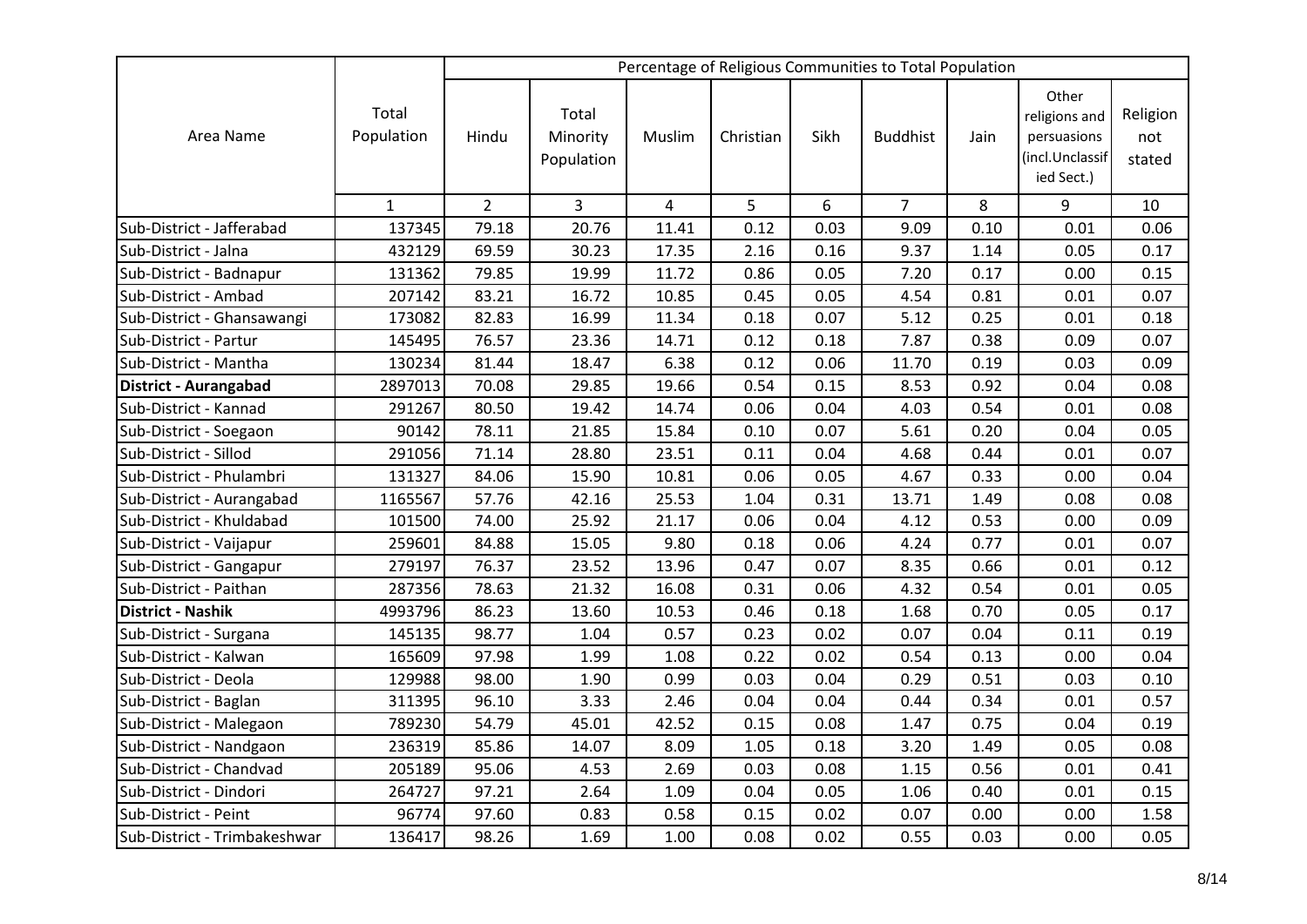|                              |                     |                |                                 |                |           |      | Percentage of Religious Communities to Total Population |      |                                                                        |                           |
|------------------------------|---------------------|----------------|---------------------------------|----------------|-----------|------|---------------------------------------------------------|------|------------------------------------------------------------------------|---------------------------|
| Area Name                    | Total<br>Population | Hindu          | Total<br>Minority<br>Population | Muslim         | Christian | Sikh | <b>Buddhist</b>                                         | Jain | Other<br>religions and<br>persuasions<br>(incl.Unclassif<br>ied Sect.) | Religion<br>not<br>stated |
|                              | $\mathbf{1}$        | $\overline{2}$ | 3                               | $\overline{4}$ | 5         | 6    | $\overline{7}$                                          | 8    | 9                                                                      | 10                        |
| Sub-District - Jafferabad    | 137345              | 79.18          | 20.76                           | 11.41          | 0.12      | 0.03 | 9.09                                                    | 0.10 | 0.01                                                                   | 0.06                      |
| Sub-District - Jalna         | 432129              | 69.59          | 30.23                           | 17.35          | 2.16      | 0.16 | 9.37                                                    | 1.14 | 0.05                                                                   | 0.17                      |
| Sub-District - Badnapur      | 131362              | 79.85          | 19.99                           | 11.72          | 0.86      | 0.05 | 7.20                                                    | 0.17 | 0.00                                                                   | 0.15                      |
| Sub-District - Ambad         | 207142              | 83.21          | 16.72                           | 10.85          | 0.45      | 0.05 | 4.54                                                    | 0.81 | 0.01                                                                   | 0.07                      |
| Sub-District - Ghansawangi   | 173082              | 82.83          | 16.99                           | 11.34          | 0.18      | 0.07 | 5.12                                                    | 0.25 | 0.01                                                                   | 0.18                      |
| Sub-District - Partur        | 145495              | 76.57          | 23.36                           | 14.71          | 0.12      | 0.18 | 7.87                                                    | 0.38 | 0.09                                                                   | 0.07                      |
| Sub-District - Mantha        | 130234              | 81.44          | 18.47                           | 6.38           | 0.12      | 0.06 | 11.70                                                   | 0.19 | 0.03                                                                   | 0.09                      |
| District - Aurangabad        | 2897013             | 70.08          | 29.85                           | 19.66          | 0.54      | 0.15 | 8.53                                                    | 0.92 | 0.04                                                                   | 0.08                      |
| Sub-District - Kannad        | 291267              | 80.50          | 19.42                           | 14.74          | 0.06      | 0.04 | 4.03                                                    | 0.54 | 0.01                                                                   | 0.08                      |
| Sub-District - Soegaon       | 90142               | 78.11          | 21.85                           | 15.84          | 0.10      | 0.07 | 5.61                                                    | 0.20 | 0.04                                                                   | 0.05                      |
| Sub-District - Sillod        | 291056              | 71.14          | 28.80                           | 23.51          | 0.11      | 0.04 | 4.68                                                    | 0.44 | 0.01                                                                   | 0.07                      |
| Sub-District - Phulambri     | 131327              | 84.06          | 15.90                           | 10.81          | 0.06      | 0.05 | 4.67                                                    | 0.33 | 0.00                                                                   | 0.04                      |
| Sub-District - Aurangabad    | 1165567             | 57.76          | 42.16                           | 25.53          | 1.04      | 0.31 | 13.71                                                   | 1.49 | 0.08                                                                   | 0.08                      |
| Sub-District - Khuldabad     | 101500              | 74.00          | 25.92                           | 21.17          | 0.06      | 0.04 | 4.12                                                    | 0.53 | 0.00                                                                   | 0.09                      |
| Sub-District - Vaijapur      | 259601              | 84.88          | 15.05                           | 9.80           | 0.18      | 0.06 | 4.24                                                    | 0.77 | 0.01                                                                   | 0.07                      |
| Sub-District - Gangapur      | 279197              | 76.37          | 23.52                           | 13.96          | 0.47      | 0.07 | 8.35                                                    | 0.66 | 0.01                                                                   | 0.12                      |
| Sub-District - Paithan       | 287356              | 78.63          | 21.32                           | 16.08          | 0.31      | 0.06 | 4.32                                                    | 0.54 | 0.01                                                                   | 0.05                      |
| District - Nashik            | 4993796             | 86.23          | 13.60                           | 10.53          | 0.46      | 0.18 | 1.68                                                    | 0.70 | 0.05                                                                   | 0.17                      |
| Sub-District - Surgana       | 145135              | 98.77          | 1.04                            | 0.57           | 0.23      | 0.02 | 0.07                                                    | 0.04 | 0.11                                                                   | 0.19                      |
| Sub-District - Kalwan        | 165609              | 97.98          | 1.99                            | 1.08           | 0.22      | 0.02 | 0.54                                                    | 0.13 | 0.00                                                                   | 0.04                      |
| Sub-District - Deola         | 129988              | 98.00          | 1.90                            | 0.99           | 0.03      | 0.04 | 0.29                                                    | 0.51 | 0.03                                                                   | 0.10                      |
| Sub-District - Baglan        | 311395              | 96.10          | 3.33                            | 2.46           | 0.04      | 0.04 | 0.44                                                    | 0.34 | 0.01                                                                   | 0.57                      |
| Sub-District - Malegaon      | 789230              | 54.79          | 45.01                           | 42.52          | 0.15      | 0.08 | 1.47                                                    | 0.75 | 0.04                                                                   | 0.19                      |
| Sub-District - Nandgaon      | 236319              | 85.86          | 14.07                           | 8.09           | 1.05      | 0.18 | 3.20                                                    | 1.49 | 0.05                                                                   | 0.08                      |
| Sub-District - Chandvad      | 205189              | 95.06          | 4.53                            | 2.69           | 0.03      | 0.08 | 1.15                                                    | 0.56 | 0.01                                                                   | 0.41                      |
| Sub-District - Dindori       | 264727              | 97.21          | 2.64                            | 1.09           | 0.04      | 0.05 | 1.06                                                    | 0.40 | 0.01                                                                   | 0.15                      |
| Sub-District - Peint         | 96774               | 97.60          | 0.83                            | 0.58           | 0.15      | 0.02 | 0.07                                                    | 0.00 | 0.00                                                                   | 1.58                      |
| Sub-District - Trimbakeshwar | 136417              | 98.26          | 1.69                            | 1.00           | 0.08      | 0.02 | 0.55                                                    | 0.03 | 0.00                                                                   | 0.05                      |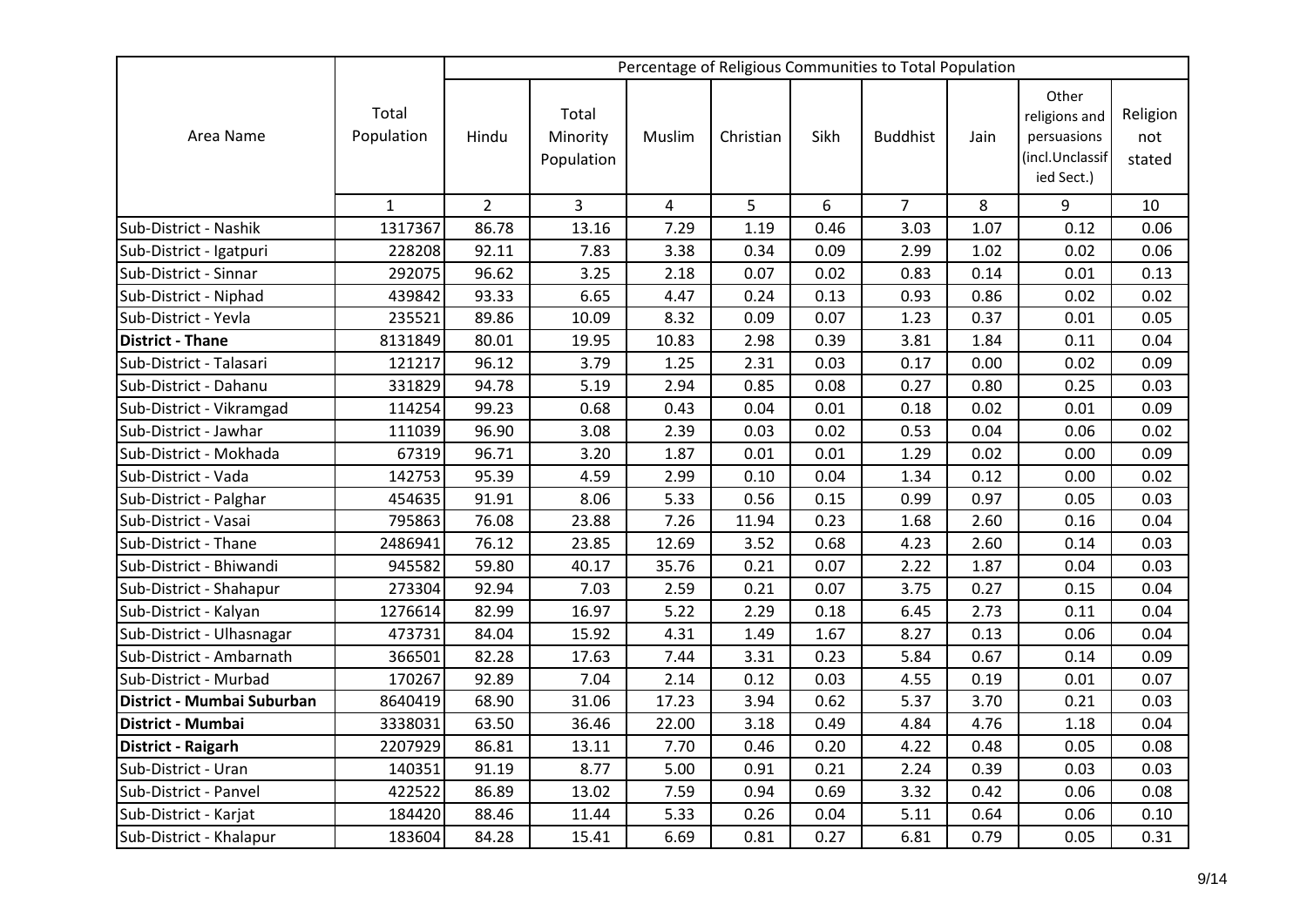|                            |                     |                |                                 |                |           |      | Percentage of Religious Communities to Total Population |      |                                                                        |                           |
|----------------------------|---------------------|----------------|---------------------------------|----------------|-----------|------|---------------------------------------------------------|------|------------------------------------------------------------------------|---------------------------|
| Area Name                  | Total<br>Population | Hindu          | Total<br>Minority<br>Population | Muslim         | Christian | Sikh | <b>Buddhist</b>                                         | Jain | Other<br>religions and<br>persuasions<br>(incl.Unclassif<br>ied Sect.) | Religion<br>not<br>stated |
|                            | $\mathbf{1}$        | $\overline{2}$ | 3                               | $\overline{a}$ | 5         | 6    | $\overline{7}$                                          | 8    | 9                                                                      | 10                        |
| Sub-District - Nashik      | 1317367             | 86.78          | 13.16                           | 7.29           | 1.19      | 0.46 | 3.03                                                    | 1.07 | 0.12                                                                   | 0.06                      |
| Sub-District - Igatpuri    | 228208              | 92.11          | 7.83                            | 3.38           | 0.34      | 0.09 | 2.99                                                    | 1.02 | 0.02                                                                   | 0.06                      |
| Sub-District - Sinnar      | 292075              | 96.62          | 3.25                            | 2.18           | 0.07      | 0.02 | 0.83                                                    | 0.14 | 0.01                                                                   | 0.13                      |
| Sub-District - Niphad      | 439842              | 93.33          | 6.65                            | 4.47           | 0.24      | 0.13 | 0.93                                                    | 0.86 | 0.02                                                                   | 0.02                      |
| Sub-District - Yevla       | 235521              | 89.86          | 10.09                           | 8.32           | 0.09      | 0.07 | 1.23                                                    | 0.37 | 0.01                                                                   | 0.05                      |
| <b>District - Thane</b>    | 8131849             | 80.01          | 19.95                           | 10.83          | 2.98      | 0.39 | 3.81                                                    | 1.84 | 0.11                                                                   | 0.04                      |
| Sub-District - Talasari    | 121217              | 96.12          | 3.79                            | 1.25           | 2.31      | 0.03 | 0.17                                                    | 0.00 | 0.02                                                                   | 0.09                      |
| Sub-District - Dahanu      | 331829              | 94.78          | 5.19                            | 2.94           | 0.85      | 0.08 | 0.27                                                    | 0.80 | 0.25                                                                   | 0.03                      |
| Sub-District - Vikramgad   | 114254              | 99.23          | 0.68                            | 0.43           | 0.04      | 0.01 | 0.18                                                    | 0.02 | 0.01                                                                   | 0.09                      |
| Sub-District - Jawhar      | 111039              | 96.90          | 3.08                            | 2.39           | 0.03      | 0.02 | 0.53                                                    | 0.04 | 0.06                                                                   | 0.02                      |
| Sub-District - Mokhada     | 67319               | 96.71          | 3.20                            | 1.87           | 0.01      | 0.01 | 1.29                                                    | 0.02 | 0.00                                                                   | 0.09                      |
| Sub-District - Vada        | 142753              | 95.39          | 4.59                            | 2.99           | 0.10      | 0.04 | 1.34                                                    | 0.12 | 0.00                                                                   | 0.02                      |
| Sub-District - Palghar     | 454635              | 91.91          | 8.06                            | 5.33           | 0.56      | 0.15 | 0.99                                                    | 0.97 | 0.05                                                                   | 0.03                      |
| Sub-District - Vasai       | 795863              | 76.08          | 23.88                           | 7.26           | 11.94     | 0.23 | 1.68                                                    | 2.60 | 0.16                                                                   | 0.04                      |
| Sub-District - Thane       | 2486941             | 76.12          | 23.85                           | 12.69          | 3.52      | 0.68 | 4.23                                                    | 2.60 | 0.14                                                                   | 0.03                      |
| Sub-District - Bhiwandi    | 945582              | 59.80          | 40.17                           | 35.76          | 0.21      | 0.07 | 2.22                                                    | 1.87 | 0.04                                                                   | 0.03                      |
| Sub-District - Shahapur    | 273304              | 92.94          | 7.03                            | 2.59           | 0.21      | 0.07 | 3.75                                                    | 0.27 | 0.15                                                                   | 0.04                      |
| Sub-District - Kalyan      | 1276614             | 82.99          | 16.97                           | 5.22           | 2.29      | 0.18 | 6.45                                                    | 2.73 | 0.11                                                                   | 0.04                      |
| Sub-District - Ulhasnagar  | 473731              | 84.04          | 15.92                           | 4.31           | 1.49      | 1.67 | 8.27                                                    | 0.13 | 0.06                                                                   | 0.04                      |
| Sub-District - Ambarnath   | 366501              | 82.28          | 17.63                           | 7.44           | 3.31      | 0.23 | 5.84                                                    | 0.67 | 0.14                                                                   | 0.09                      |
| Sub-District - Murbad      | 170267              | 92.89          | 7.04                            | 2.14           | 0.12      | 0.03 | 4.55                                                    | 0.19 | 0.01                                                                   | 0.07                      |
| District - Mumbai Suburban | 8640419             | 68.90          | 31.06                           | 17.23          | 3.94      | 0.62 | 5.37                                                    | 3.70 | 0.21                                                                   | 0.03                      |
| District - Mumbai          | 3338031             | 63.50          | 36.46                           | 22.00          | 3.18      | 0.49 | 4.84                                                    | 4.76 | 1.18                                                                   | 0.04                      |
| District - Raigarh         | 2207929             | 86.81          | 13.11                           | 7.70           | 0.46      | 0.20 | 4.22                                                    | 0.48 | 0.05                                                                   | 0.08                      |
| Sub-District - Uran        | 140351              | 91.19          | 8.77                            | 5.00           | 0.91      | 0.21 | 2.24                                                    | 0.39 | 0.03                                                                   | 0.03                      |
| Sub-District - Panvel      | 422522              | 86.89          | 13.02                           | 7.59           | 0.94      | 0.69 | 3.32                                                    | 0.42 | 0.06                                                                   | 0.08                      |
| Sub-District - Karjat      | 184420              | 88.46          | 11.44                           | 5.33           | 0.26      | 0.04 | 5.11                                                    | 0.64 | 0.06                                                                   | 0.10                      |
| Sub-District - Khalapur    | 183604              | 84.28          | 15.41                           | 6.69           | 0.81      | 0.27 | 6.81                                                    | 0.79 | 0.05                                                                   | 0.31                      |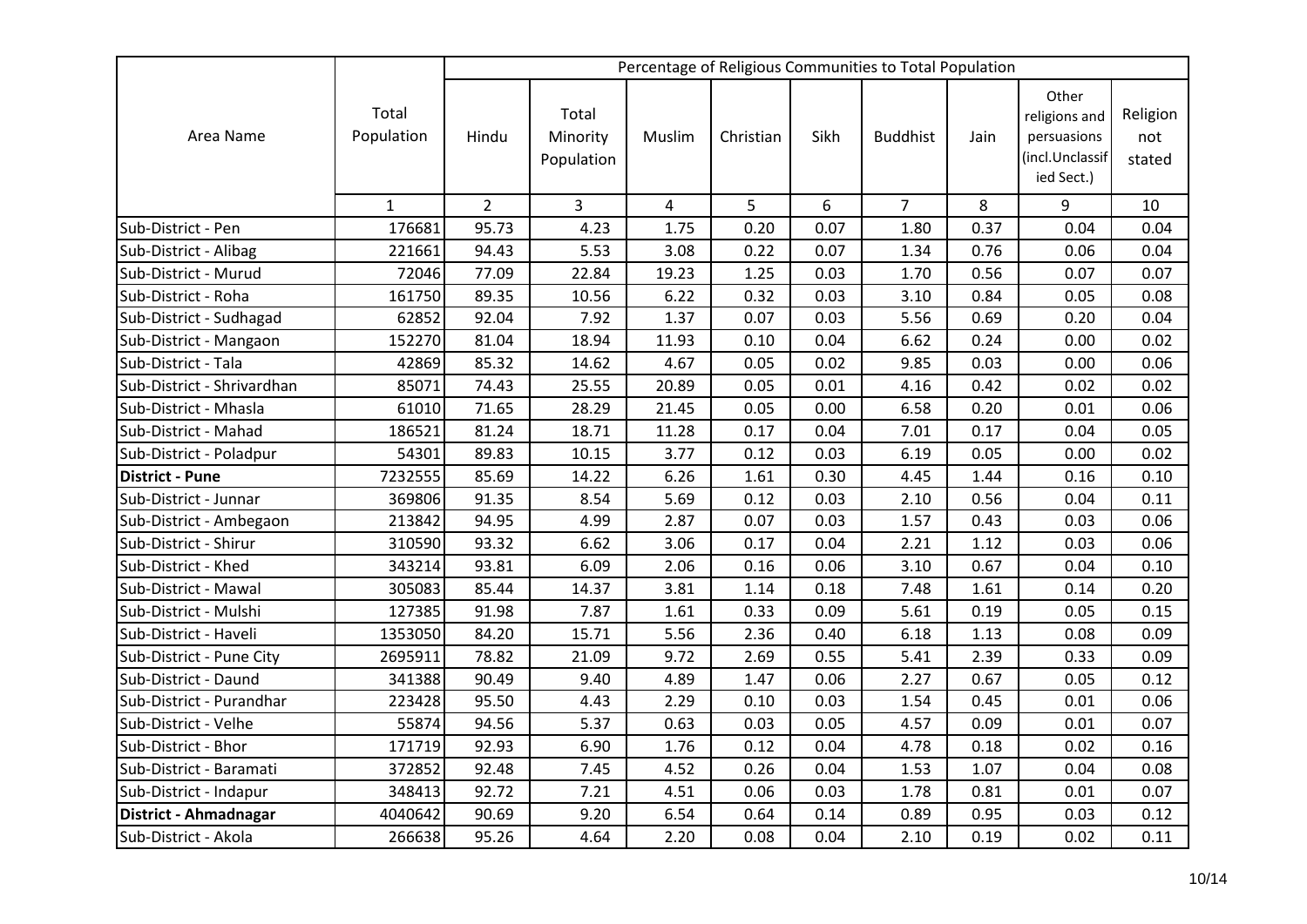|                            |                     |                |                                 |                |           |      | Percentage of Religious Communities to Total Population |      |                                                                        |                           |
|----------------------------|---------------------|----------------|---------------------------------|----------------|-----------|------|---------------------------------------------------------|------|------------------------------------------------------------------------|---------------------------|
| Area Name                  | Total<br>Population | Hindu          | Total<br>Minority<br>Population | Muslim         | Christian | Sikh | <b>Buddhist</b>                                         | Jain | Other<br>religions and<br>persuasions<br>(incl.Unclassif<br>ied Sect.) | Religion<br>not<br>stated |
|                            | $\mathbf{1}$        | $\overline{2}$ | 3                               | $\overline{4}$ | 5         | 6    | $\overline{7}$                                          | 8    | 9                                                                      | 10                        |
| Sub-District - Pen         | 176681              | 95.73          | 4.23                            | 1.75           | 0.20      | 0.07 | 1.80                                                    | 0.37 | 0.04                                                                   | 0.04                      |
| Sub-District - Alibag      | 221661              | 94.43          | 5.53                            | 3.08           | 0.22      | 0.07 | 1.34                                                    | 0.76 | 0.06                                                                   | 0.04                      |
| Sub-District - Murud       | 72046               | 77.09          | 22.84                           | 19.23          | 1.25      | 0.03 | 1.70                                                    | 0.56 | 0.07                                                                   | 0.07                      |
| Sub-District - Roha        | 161750              | 89.35          | 10.56                           | 6.22           | 0.32      | 0.03 | 3.10                                                    | 0.84 | 0.05                                                                   | 0.08                      |
| Sub-District - Sudhagad    | 62852               | 92.04          | 7.92                            | 1.37           | 0.07      | 0.03 | 5.56                                                    | 0.69 | 0.20                                                                   | 0.04                      |
| Sub-District - Mangaon     | 152270              | 81.04          | 18.94                           | 11.93          | 0.10      | 0.04 | 6.62                                                    | 0.24 | 0.00                                                                   | 0.02                      |
| Sub-District - Tala        | 42869               | 85.32          | 14.62                           | 4.67           | 0.05      | 0.02 | 9.85                                                    | 0.03 | 0.00                                                                   | 0.06                      |
| Sub-District - Shrivardhan | 85071               | 74.43          | 25.55                           | 20.89          | 0.05      | 0.01 | 4.16                                                    | 0.42 | 0.02                                                                   | 0.02                      |
| Sub-District - Mhasla      | 61010               | 71.65          | 28.29                           | 21.45          | 0.05      | 0.00 | 6.58                                                    | 0.20 | 0.01                                                                   | 0.06                      |
| Sub-District - Mahad       | 186521              | 81.24          | 18.71                           | 11.28          | 0.17      | 0.04 | 7.01                                                    | 0.17 | 0.04                                                                   | 0.05                      |
| Sub-District - Poladpur    | 54301               | 89.83          | 10.15                           | 3.77           | 0.12      | 0.03 | 6.19                                                    | 0.05 | 0.00                                                                   | 0.02                      |
| <b>District - Pune</b>     | 7232555             | 85.69          | 14.22                           | 6.26           | 1.61      | 0.30 | 4.45                                                    | 1.44 | 0.16                                                                   | 0.10                      |
| Sub-District - Junnar      | 369806              | 91.35          | 8.54                            | 5.69           | 0.12      | 0.03 | 2.10                                                    | 0.56 | 0.04                                                                   | 0.11                      |
| Sub-District - Ambegaon    | 213842              | 94.95          | 4.99                            | 2.87           | 0.07      | 0.03 | 1.57                                                    | 0.43 | 0.03                                                                   | 0.06                      |
| Sub-District - Shirur      | 310590              | 93.32          | 6.62                            | 3.06           | 0.17      | 0.04 | 2.21                                                    | 1.12 | 0.03                                                                   | 0.06                      |
| Sub-District - Khed        | 343214              | 93.81          | 6.09                            | 2.06           | 0.16      | 0.06 | 3.10                                                    | 0.67 | 0.04                                                                   | 0.10                      |
| Sub-District - Mawal       | 305083              | 85.44          | 14.37                           | 3.81           | 1.14      | 0.18 | 7.48                                                    | 1.61 | 0.14                                                                   | 0.20                      |
| Sub-District - Mulshi      | 127385              | 91.98          | 7.87                            | 1.61           | 0.33      | 0.09 | 5.61                                                    | 0.19 | 0.05                                                                   | 0.15                      |
| Sub-District - Haveli      | 1353050             | 84.20          | 15.71                           | 5.56           | 2.36      | 0.40 | 6.18                                                    | 1.13 | 0.08                                                                   | 0.09                      |
| Sub-District - Pune City   | 2695911             | 78.82          | 21.09                           | 9.72           | 2.69      | 0.55 | 5.41                                                    | 2.39 | 0.33                                                                   | 0.09                      |
| Sub-District - Daund       | 341388              | 90.49          | 9.40                            | 4.89           | 1.47      | 0.06 | 2.27                                                    | 0.67 | 0.05                                                                   | 0.12                      |
| Sub-District - Purandhar   | 223428              | 95.50          | 4.43                            | 2.29           | 0.10      | 0.03 | 1.54                                                    | 0.45 | 0.01                                                                   | 0.06                      |
| Sub-District - Velhe       | 55874               | 94.56          | 5.37                            | 0.63           | 0.03      | 0.05 | 4.57                                                    | 0.09 | 0.01                                                                   | 0.07                      |
| Sub-District - Bhor        | 171719              | 92.93          | 6.90                            | 1.76           | 0.12      | 0.04 | 4.78                                                    | 0.18 | 0.02                                                                   | 0.16                      |
| Sub-District - Baramati    | 372852              | 92.48          | 7.45                            | 4.52           | 0.26      | 0.04 | 1.53                                                    | 1.07 | 0.04                                                                   | 0.08                      |
| Sub-District - Indapur     | 348413              | 92.72          | 7.21                            | 4.51           | 0.06      | 0.03 | 1.78                                                    | 0.81 | 0.01                                                                   | 0.07                      |
| District - Ahmadnagar      | 4040642             | 90.69          | 9.20                            | 6.54           | 0.64      | 0.14 | 0.89                                                    | 0.95 | 0.03                                                                   | 0.12                      |
| Sub-District - Akola       | 266638              | 95.26          | 4.64                            | 2.20           | 0.08      | 0.04 | 2.10                                                    | 0.19 | 0.02                                                                   | 0.11                      |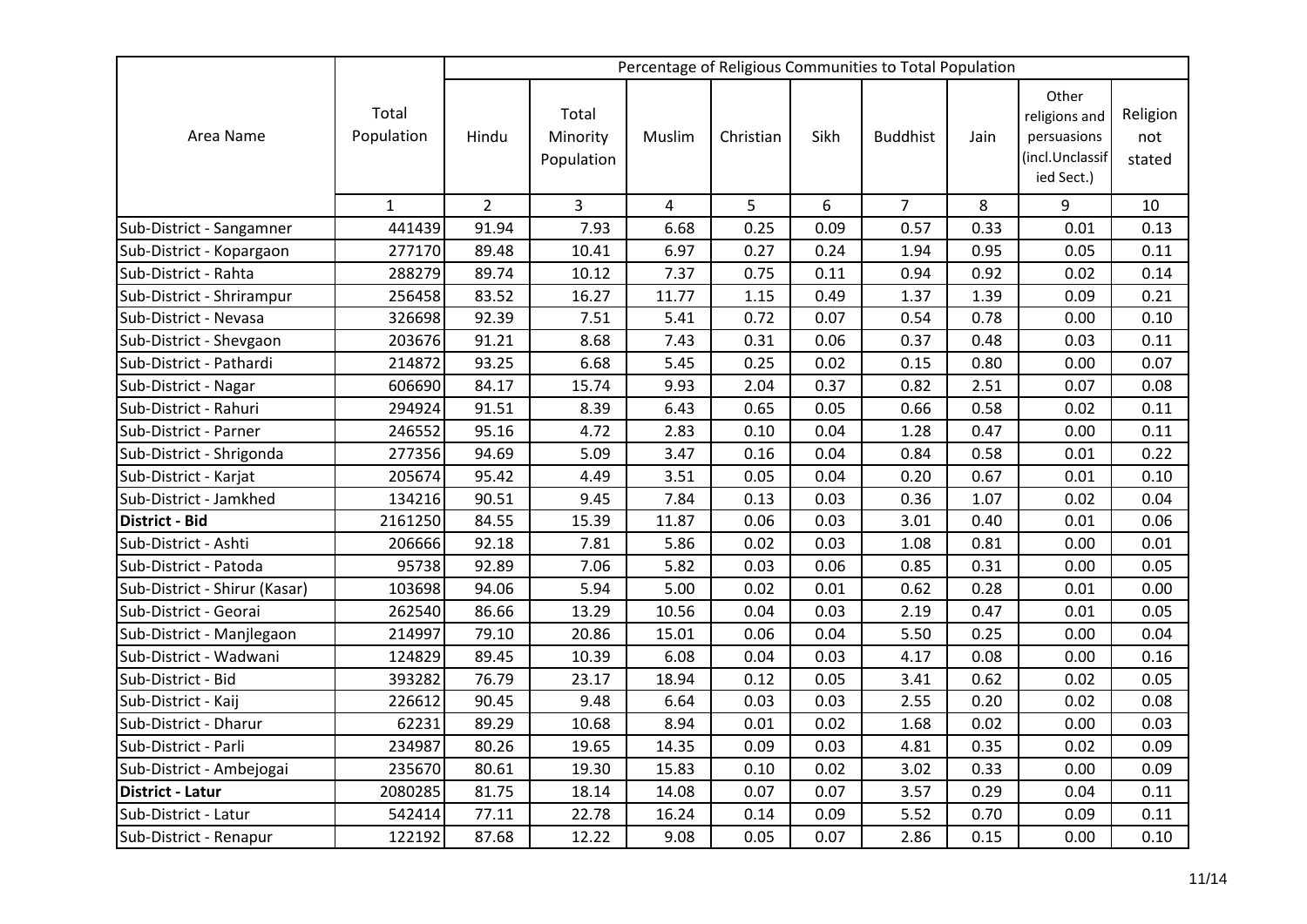|                               |                     |                |                                 |                |           |      | Percentage of Religious Communities to Total Population |      |                                                                        |                           |
|-------------------------------|---------------------|----------------|---------------------------------|----------------|-----------|------|---------------------------------------------------------|------|------------------------------------------------------------------------|---------------------------|
| Area Name                     | Total<br>Population | Hindu          | Total<br>Minority<br>Population | Muslim         | Christian | Sikh | <b>Buddhist</b>                                         | Jain | Other<br>religions and<br>persuasions<br>(incl.Unclassif<br>ied Sect.) | Religion<br>not<br>stated |
|                               | $\mathbf{1}$        | $\overline{2}$ | $\mathbf{3}$                    | $\overline{a}$ | 5         | 6    | $\overline{7}$                                          | 8    | 9                                                                      | 10                        |
| Sub-District - Sangamner      | 441439              | 91.94          | 7.93                            | 6.68           | 0.25      | 0.09 | 0.57                                                    | 0.33 | 0.01                                                                   | 0.13                      |
| Sub-District - Kopargaon      | 277170              | 89.48          | 10.41                           | 6.97           | 0.27      | 0.24 | 1.94                                                    | 0.95 | 0.05                                                                   | 0.11                      |
| Sub-District - Rahta          | 288279              | 89.74          | 10.12                           | 7.37           | 0.75      | 0.11 | 0.94                                                    | 0.92 | 0.02                                                                   | 0.14                      |
| Sub-District - Shrirampur     | 256458              | 83.52          | 16.27                           | 11.77          | 1.15      | 0.49 | 1.37                                                    | 1.39 | 0.09                                                                   | 0.21                      |
| Sub-District - Nevasa         | 326698              | 92.39          | 7.51                            | 5.41           | 0.72      | 0.07 | 0.54                                                    | 0.78 | 0.00                                                                   | 0.10                      |
| Sub-District - Shevgaon       | 203676              | 91.21          | 8.68                            | 7.43           | 0.31      | 0.06 | 0.37                                                    | 0.48 | 0.03                                                                   | 0.11                      |
| Sub-District - Pathardi       | 214872              | 93.25          | 6.68                            | 5.45           | 0.25      | 0.02 | 0.15                                                    | 0.80 | 0.00                                                                   | 0.07                      |
| Sub-District - Nagar          | 606690              | 84.17          | 15.74                           | 9.93           | 2.04      | 0.37 | 0.82                                                    | 2.51 | 0.07                                                                   | 0.08                      |
| Sub-District - Rahuri         | 294924              | 91.51          | 8.39                            | 6.43           | 0.65      | 0.05 | 0.66                                                    | 0.58 | 0.02                                                                   | 0.11                      |
| Sub-District - Parner         | 246552              | 95.16          | 4.72                            | 2.83           | 0.10      | 0.04 | 1.28                                                    | 0.47 | 0.00                                                                   | 0.11                      |
| Sub-District - Shrigonda      | 277356              | 94.69          | 5.09                            | 3.47           | 0.16      | 0.04 | 0.84                                                    | 0.58 | 0.01                                                                   | 0.22                      |
| Sub-District - Karjat         | 205674              | 95.42          | 4.49                            | 3.51           | 0.05      | 0.04 | 0.20                                                    | 0.67 | 0.01                                                                   | 0.10                      |
| Sub-District - Jamkhed        | 134216              | 90.51          | 9.45                            | 7.84           | 0.13      | 0.03 | 0.36                                                    | 1.07 | 0.02                                                                   | 0.04                      |
| <b>District - Bid</b>         | 2161250             | 84.55          | 15.39                           | 11.87          | 0.06      | 0.03 | 3.01                                                    | 0.40 | 0.01                                                                   | 0.06                      |
| Sub-District - Ashti          | 206666              | 92.18          | 7.81                            | 5.86           | 0.02      | 0.03 | 1.08                                                    | 0.81 | 0.00                                                                   | 0.01                      |
| Sub-District - Patoda         | 95738               | 92.89          | 7.06                            | 5.82           | 0.03      | 0.06 | 0.85                                                    | 0.31 | 0.00                                                                   | 0.05                      |
| Sub-District - Shirur (Kasar) | 103698              | 94.06          | 5.94                            | 5.00           | 0.02      | 0.01 | 0.62                                                    | 0.28 | 0.01                                                                   | 0.00                      |
| Sub-District - Georai         | 262540              | 86.66          | 13.29                           | 10.56          | 0.04      | 0.03 | 2.19                                                    | 0.47 | 0.01                                                                   | 0.05                      |
| Sub-District - Manjlegaon     | 214997              | 79.10          | 20.86                           | 15.01          | 0.06      | 0.04 | 5.50                                                    | 0.25 | 0.00                                                                   | 0.04                      |
| Sub-District - Wadwani        | 124829              | 89.45          | 10.39                           | 6.08           | 0.04      | 0.03 | 4.17                                                    | 0.08 | 0.00                                                                   | 0.16                      |
| Sub-District - Bid            | 393282              | 76.79          | 23.17                           | 18.94          | 0.12      | 0.05 | 3.41                                                    | 0.62 | 0.02                                                                   | 0.05                      |
| Sub-District - Kaij           | 226612              | 90.45          | 9.48                            | 6.64           | 0.03      | 0.03 | 2.55                                                    | 0.20 | 0.02                                                                   | 0.08                      |
| Sub-District - Dharur         | 62231               | 89.29          | 10.68                           | 8.94           | 0.01      | 0.02 | 1.68                                                    | 0.02 | 0.00                                                                   | 0.03                      |
| Sub-District - Parli          | 234987              | 80.26          | 19.65                           | 14.35          | 0.09      | 0.03 | 4.81                                                    | 0.35 | 0.02                                                                   | 0.09                      |
| Sub-District - Ambejogai      | 235670              | 80.61          | 19.30                           | 15.83          | 0.10      | 0.02 | 3.02                                                    | 0.33 | 0.00                                                                   | 0.09                      |
| District - Latur              | 2080285             | 81.75          | 18.14                           | 14.08          | 0.07      | 0.07 | 3.57                                                    | 0.29 | 0.04                                                                   | 0.11                      |
| Sub-District - Latur          | 542414              | 77.11          | 22.78                           | 16.24          | 0.14      | 0.09 | 5.52                                                    | 0.70 | 0.09                                                                   | 0.11                      |
| Sub-District - Renapur        | 122192              | 87.68          | 12.22                           | 9.08           | 0.05      | 0.07 | 2.86                                                    | 0.15 | 0.00                                                                   | 0.10                      |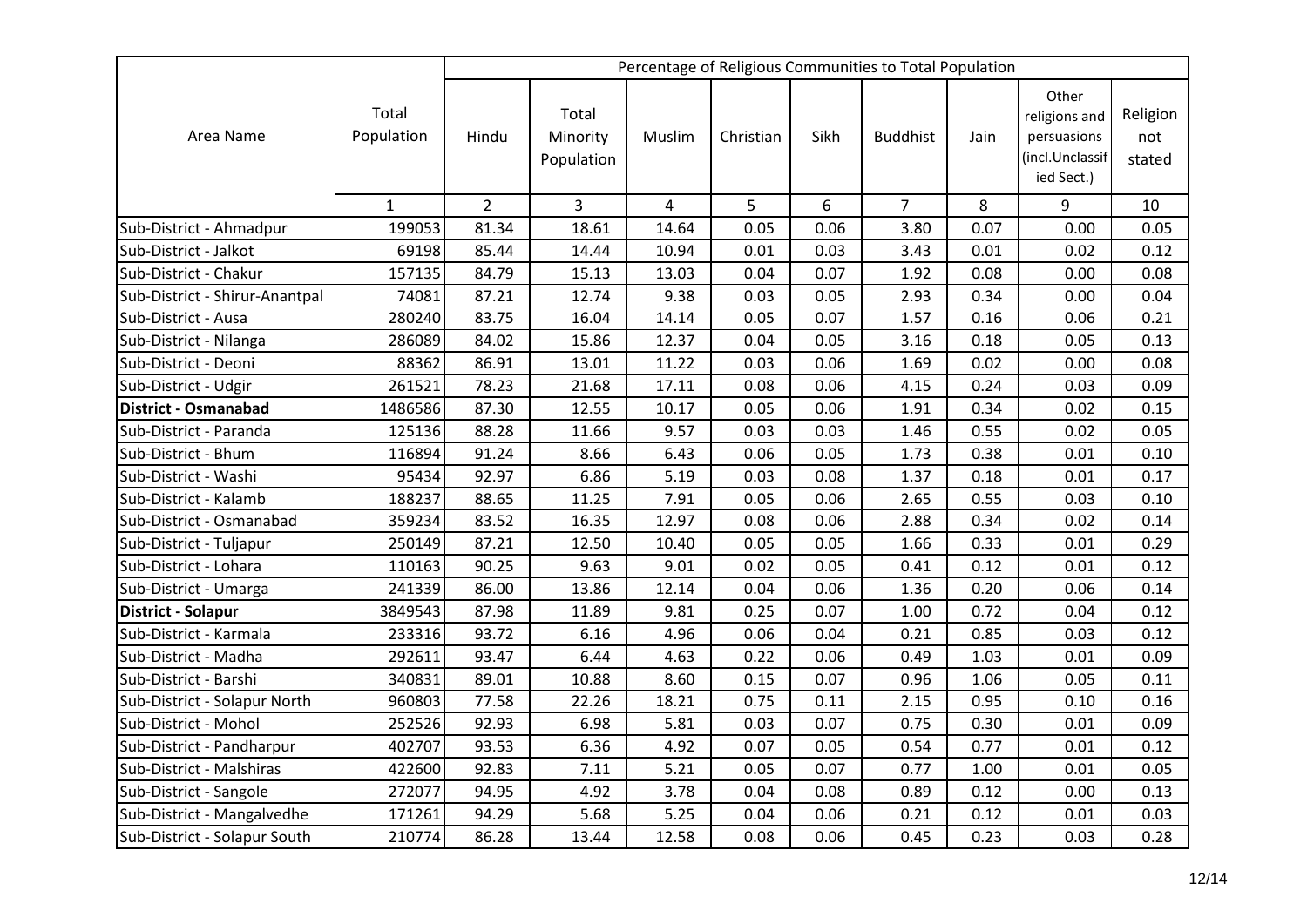|                                |                     |                |                                 |                |           |      | Percentage of Religious Communities to Total Population |      |                                                                        |                           |
|--------------------------------|---------------------|----------------|---------------------------------|----------------|-----------|------|---------------------------------------------------------|------|------------------------------------------------------------------------|---------------------------|
| Area Name                      | Total<br>Population | Hindu          | Total<br>Minority<br>Population | Muslim         | Christian | Sikh | <b>Buddhist</b>                                         | Jain | Other<br>religions and<br>persuasions<br>(incl.Unclassif<br>ied Sect.) | Religion<br>not<br>stated |
|                                | $\mathbf{1}$        | $\overline{2}$ | 3                               | $\overline{4}$ | 5         | 6    | $\overline{7}$                                          | 8    | 9                                                                      | 10                        |
| Sub-District - Ahmadpur        | 199053              | 81.34          | 18.61                           | 14.64          | 0.05      | 0.06 | 3.80                                                    | 0.07 | 0.00                                                                   | 0.05                      |
| Sub-District - Jalkot          | 69198               | 85.44          | 14.44                           | 10.94          | 0.01      | 0.03 | 3.43                                                    | 0.01 | 0.02                                                                   | 0.12                      |
| Sub-District - Chakur          | 157135              | 84.79          | 15.13                           | 13.03          | 0.04      | 0.07 | 1.92                                                    | 0.08 | 0.00                                                                   | 0.08                      |
| Sub-District - Shirur-Anantpal | 74081               | 87.21          | 12.74                           | 9.38           | 0.03      | 0.05 | 2.93                                                    | 0.34 | 0.00                                                                   | 0.04                      |
| Sub-District - Ausa            | 280240              | 83.75          | 16.04                           | 14.14          | 0.05      | 0.07 | 1.57                                                    | 0.16 | 0.06                                                                   | 0.21                      |
| Sub-District - Nilanga         | 286089              | 84.02          | 15.86                           | 12.37          | 0.04      | 0.05 | 3.16                                                    | 0.18 | 0.05                                                                   | 0.13                      |
| Sub-District - Deoni           | 88362               | 86.91          | 13.01                           | 11.22          | 0.03      | 0.06 | 1.69                                                    | 0.02 | 0.00                                                                   | 0.08                      |
| Sub-District - Udgir           | 261521              | 78.23          | 21.68                           | 17.11          | 0.08      | 0.06 | 4.15                                                    | 0.24 | 0.03                                                                   | 0.09                      |
| <b>District - Osmanabad</b>    | 1486586             | 87.30          | 12.55                           | 10.17          | 0.05      | 0.06 | 1.91                                                    | 0.34 | 0.02                                                                   | 0.15                      |
| Sub-District - Paranda         | 125136              | 88.28          | 11.66                           | 9.57           | 0.03      | 0.03 | 1.46                                                    | 0.55 | 0.02                                                                   | 0.05                      |
| Sub-District - Bhum            | 116894              | 91.24          | 8.66                            | 6.43           | 0.06      | 0.05 | 1.73                                                    | 0.38 | 0.01                                                                   | 0.10                      |
| Sub-District - Washi           | 95434               | 92.97          | 6.86                            | 5.19           | 0.03      | 0.08 | 1.37                                                    | 0.18 | 0.01                                                                   | 0.17                      |
| Sub-District - Kalamb          | 188237              | 88.65          | 11.25                           | 7.91           | 0.05      | 0.06 | 2.65                                                    | 0.55 | 0.03                                                                   | 0.10                      |
| Sub-District - Osmanabad       | 359234              | 83.52          | 16.35                           | 12.97          | 0.08      | 0.06 | 2.88                                                    | 0.34 | 0.02                                                                   | 0.14                      |
| Sub-District - Tuljapur        | 250149              | 87.21          | 12.50                           | 10.40          | 0.05      | 0.05 | 1.66                                                    | 0.33 | 0.01                                                                   | 0.29                      |
| Sub-District - Lohara          | 110163              | 90.25          | 9.63                            | 9.01           | 0.02      | 0.05 | 0.41                                                    | 0.12 | 0.01                                                                   | 0.12                      |
| Sub-District - Umarga          | 241339              | 86.00          | 13.86                           | 12.14          | 0.04      | 0.06 | 1.36                                                    | 0.20 | 0.06                                                                   | 0.14                      |
| <b>District - Solapur</b>      | 3849543             | 87.98          | 11.89                           | 9.81           | 0.25      | 0.07 | 1.00                                                    | 0.72 | 0.04                                                                   | 0.12                      |
| Sub-District - Karmala         | 233316              | 93.72          | 6.16                            | 4.96           | 0.06      | 0.04 | 0.21                                                    | 0.85 | 0.03                                                                   | 0.12                      |
| Sub-District - Madha           | 292611              | 93.47          | 6.44                            | 4.63           | 0.22      | 0.06 | 0.49                                                    | 1.03 | 0.01                                                                   | 0.09                      |
| Sub-District - Barshi          | 340831              | 89.01          | 10.88                           | 8.60           | 0.15      | 0.07 | 0.96                                                    | 1.06 | 0.05                                                                   | 0.11                      |
| Sub-District - Solapur North   | 960803              | 77.58          | 22.26                           | 18.21          | 0.75      | 0.11 | 2.15                                                    | 0.95 | 0.10                                                                   | 0.16                      |
| Sub-District - Mohol           | 252526              | 92.93          | 6.98                            | 5.81           | 0.03      | 0.07 | 0.75                                                    | 0.30 | 0.01                                                                   | 0.09                      |
| Sub-District - Pandharpur      | 402707              | 93.53          | 6.36                            | 4.92           | 0.07      | 0.05 | 0.54                                                    | 0.77 | 0.01                                                                   | 0.12                      |
| Sub-District - Malshiras       | 422600              | 92.83          | 7.11                            | 5.21           | 0.05      | 0.07 | 0.77                                                    | 1.00 | 0.01                                                                   | 0.05                      |
| Sub-District - Sangole         | 272077              | 94.95          | 4.92                            | 3.78           | 0.04      | 0.08 | 0.89                                                    | 0.12 | 0.00                                                                   | 0.13                      |
| Sub-District - Mangalvedhe     | 171261              | 94.29          | 5.68                            | 5.25           | 0.04      | 0.06 | 0.21                                                    | 0.12 | 0.01                                                                   | 0.03                      |
| Sub-District - Solapur South   | 210774              | 86.28          | 13.44                           | 12.58          | 0.08      | 0.06 | 0.45                                                    | 0.23 | 0.03                                                                   | 0.28                      |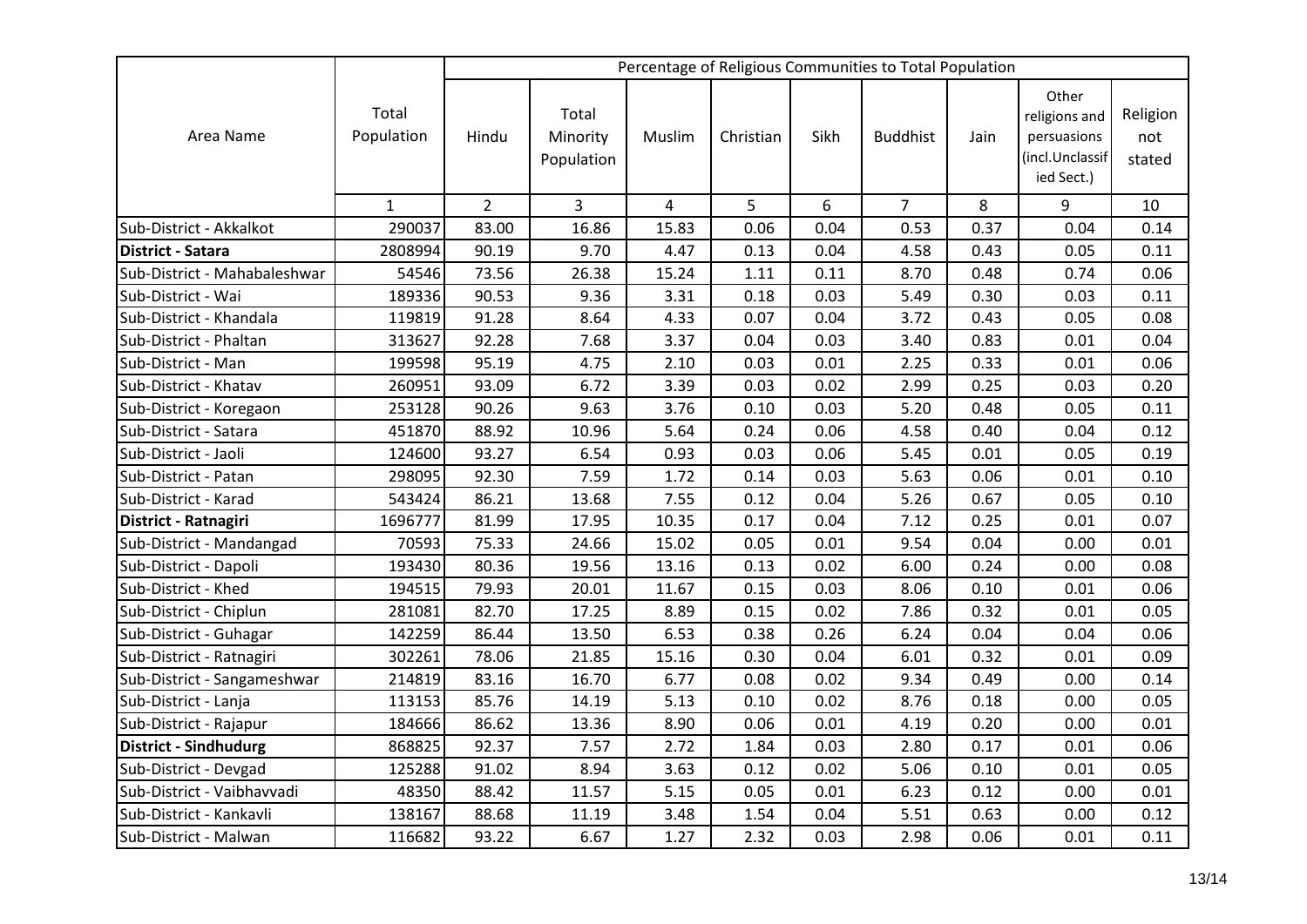|                              |                     | Percentage of Religious Communities to Total Population |                                 |                |           |      |                 |      |                                                                        |                           |
|------------------------------|---------------------|---------------------------------------------------------|---------------------------------|----------------|-----------|------|-----------------|------|------------------------------------------------------------------------|---------------------------|
| Area Name                    | Total<br>Population | Hindu                                                   | Total<br>Minority<br>Population | Muslim         | Christian | Sikh | <b>Buddhist</b> | Jain | Other<br>religions and<br>persuasions<br>(incl.Unclassif<br>ied Sect.) | Religion<br>not<br>stated |
|                              | $\mathbf{1}$        | $\overline{2}$                                          | 3                               | $\overline{4}$ | 5         | 6    | $\overline{7}$  | 8    | 9                                                                      | 10                        |
| Sub-District - Akkalkot      | 290037              | 83.00                                                   | 16.86                           | 15.83          | 0.06      | 0.04 | 0.53            | 0.37 | 0.04                                                                   | 0.14                      |
| <b>District - Satara</b>     | 2808994             | 90.19                                                   | 9.70                            | 4.47           | 0.13      | 0.04 | 4.58            | 0.43 | 0.05                                                                   | 0.11                      |
| Sub-District - Mahabaleshwar | 54546               | 73.56                                                   | 26.38                           | 15.24          | 1.11      | 0.11 | 8.70            | 0.48 | 0.74                                                                   | 0.06                      |
| Sub-District - Wai           | 189336              | 90.53                                                   | 9.36                            | 3.31           | 0.18      | 0.03 | 5.49            | 0.30 | 0.03                                                                   | 0.11                      |
| Sub-District - Khandala      | 119819              | 91.28                                                   | 8.64                            | 4.33           | 0.07      | 0.04 | 3.72            | 0.43 | 0.05                                                                   | 0.08                      |
| Sub-District - Phaltan       | 313627              | 92.28                                                   | 7.68                            | 3.37           | 0.04      | 0.03 | 3.40            | 0.83 | 0.01                                                                   | 0.04                      |
| Sub-District - Man           | 199598              | 95.19                                                   | 4.75                            | 2.10           | 0.03      | 0.01 | 2.25            | 0.33 | 0.01                                                                   | 0.06                      |
| Sub-District - Khatav        | 260951              | 93.09                                                   | 6.72                            | 3.39           | 0.03      | 0.02 | 2.99            | 0.25 | 0.03                                                                   | 0.20                      |
| Sub-District - Koregaon      | 253128              | 90.26                                                   | 9.63                            | 3.76           | 0.10      | 0.03 | 5.20            | 0.48 | 0.05                                                                   | 0.11                      |
| Sub-District - Satara        | 451870              | 88.92                                                   | 10.96                           | 5.64           | 0.24      | 0.06 | 4.58            | 0.40 | 0.04                                                                   | 0.12                      |
| Sub-District - Jaoli         | 124600              | 93.27                                                   | 6.54                            | 0.93           | 0.03      | 0.06 | 5.45            | 0.01 | 0.05                                                                   | 0.19                      |
| Sub-District - Patan         | 298095              | 92.30                                                   | 7.59                            | 1.72           | 0.14      | 0.03 | 5.63            | 0.06 | 0.01                                                                   | 0.10                      |
| Sub-District - Karad         | 543424              | 86.21                                                   | 13.68                           | 7.55           | 0.12      | 0.04 | 5.26            | 0.67 | 0.05                                                                   | 0.10                      |
| District - Ratnagiri         | 1696777             | 81.99                                                   | 17.95                           | 10.35          | 0.17      | 0.04 | 7.12            | 0.25 | 0.01                                                                   | 0.07                      |
| Sub-District - Mandangad     | 70593               | 75.33                                                   | 24.66                           | 15.02          | 0.05      | 0.01 | 9.54            | 0.04 | 0.00                                                                   | 0.01                      |
| Sub-District - Dapoli        | 193430              | 80.36                                                   | 19.56                           | 13.16          | 0.13      | 0.02 | 6.00            | 0.24 | 0.00                                                                   | 0.08                      |
| Sub-District - Khed          | 194515              | 79.93                                                   | 20.01                           | 11.67          | 0.15      | 0.03 | 8.06            | 0.10 | 0.01                                                                   | 0.06                      |
| Sub-District - Chiplun       | 281081              | 82.70                                                   | 17.25                           | 8.89           | 0.15      | 0.02 | 7.86            | 0.32 | 0.01                                                                   | 0.05                      |
| Sub-District - Guhagar       | 142259              | 86.44                                                   | 13.50                           | 6.53           | 0.38      | 0.26 | 6.24            | 0.04 | 0.04                                                                   | 0.06                      |
| Sub-District - Ratnagiri     | 302261              | 78.06                                                   | 21.85                           | 15.16          | 0.30      | 0.04 | 6.01            | 0.32 | 0.01                                                                   | 0.09                      |
| Sub-District - Sangameshwar  | 214819              | 83.16                                                   | 16.70                           | 6.77           | 0.08      | 0.02 | 9.34            | 0.49 | 0.00                                                                   | 0.14                      |
| Sub-District - Lanja         | 113153              | 85.76                                                   | 14.19                           | 5.13           | 0.10      | 0.02 | 8.76            | 0.18 | 0.00                                                                   | 0.05                      |
| Sub-District - Rajapur       | 184666              | 86.62                                                   | 13.36                           | 8.90           | 0.06      | 0.01 | 4.19            | 0.20 | 0.00                                                                   | 0.01                      |
| <b>District - Sindhudurg</b> | 868825              | 92.37                                                   | 7.57                            | 2.72           | 1.84      | 0.03 | 2.80            | 0.17 | 0.01                                                                   | 0.06                      |
| Sub-District - Devgad        | 125288              | 91.02                                                   | 8.94                            | 3.63           | 0.12      | 0.02 | 5.06            | 0.10 | 0.01                                                                   | 0.05                      |
| Sub-District - Vaibhavvadi   | 48350               | 88.42                                                   | 11.57                           | 5.15           | 0.05      | 0.01 | 6.23            | 0.12 | 0.00                                                                   | 0.01                      |
| Sub-District - Kankavli      | 138167              | 88.68                                                   | 11.19                           | 3.48           | 1.54      | 0.04 | 5.51            | 0.63 | 0.00                                                                   | 0.12                      |
| Sub-District - Malwan        | 116682              | 93.22                                                   | 6.67                            | 1.27           | 2.32      | 0.03 | 2.98            | 0.06 | 0.01                                                                   | 0.11                      |